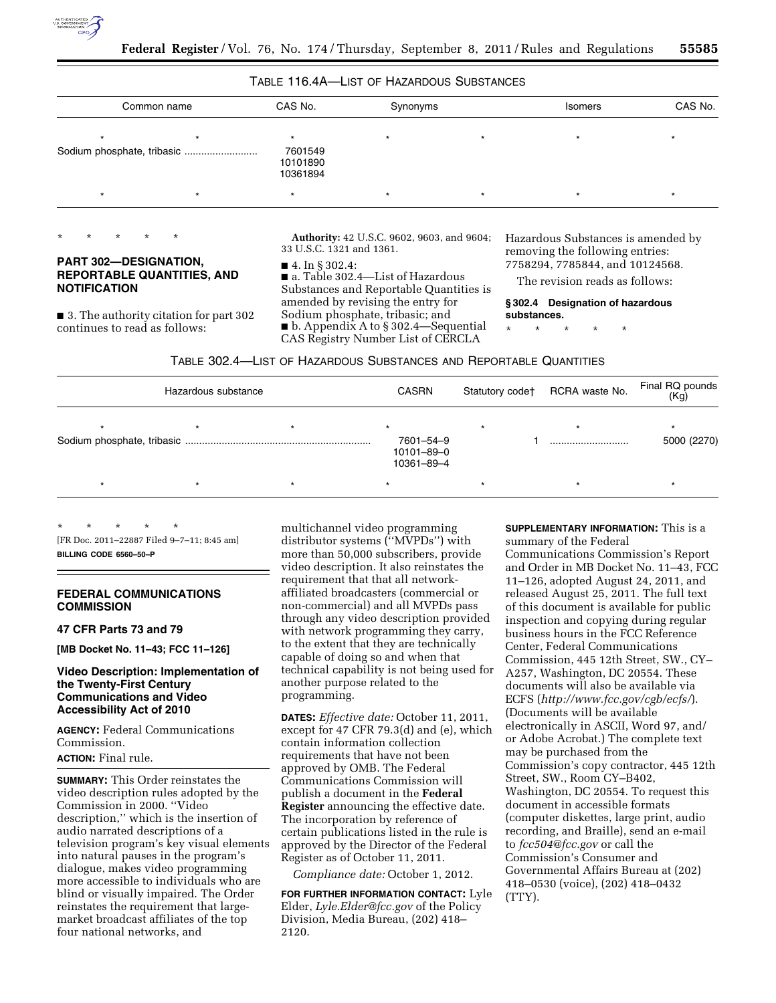

TABLE 116.4A—LIST OF HAZARDOUS SUBSTANCES

| Common name |  | CAS No.                         | Synonyms |  | <b>Isomers</b> | CAS No. |
|-------------|--|---------------------------------|----------|--|----------------|---------|
|             |  | 7601549<br>10101890<br>10361894 |          |  |                |         |
|             |  |                                 |          |  |                |         |

\* \* \* \* \*

# **PART 302—DESIGNATION, REPORTABLE QUANTITIES, AND NOTIFICATION**

■ 3. The authority citation for part 302 continues to read as follows:

**Authority:** 42 U.S.C. 9602, 9603, and 9604; 33 U.S.C. 1321 and 1361.

■ 4. In § 302.4: ■ a. Table 302.4—List of Hazardous Substances and Reportable Quantities is amended by revising the entry for Sodium phosphate, tribasic; and ■ b. Appendix A to § 302.4—Sequential CAS Registry Number List of CERCLA

Hazardous Substances is amended by removing the following entries: 7758294, 7785844, and 10124568.

The revision reads as follows:

**§ 302.4 Designation of hazardous substances.** 

\* \* \* \* \*

| TABLE 302.4-LIST OF HAZARDOUS SUBSTANCES AND REPORTABLE QUANTITIES |  |
|--------------------------------------------------------------------|--|
|--------------------------------------------------------------------|--|

| Hazardous substance |  |         | <b>CASRN</b>                          | Statutory code† RCRA waste No. | Final RQ pounds<br>(Kg) |
|---------------------|--|---------|---------------------------------------|--------------------------------|-------------------------|
|                     |  |         | 7601-54-9<br>10101-89-0<br>10361-89-4 |                                | $\star$<br>5000 (2270)  |
|                     |  | $\star$ |                                       |                                |                         |

\* \* \* \* \* [FR Doc. 2011–22887 Filed 9–7–11; 8:45 am] **BILLING CODE 6560–50–P** 

# **FEDERAL COMMUNICATIONS COMMISSION**

# **47 CFR Parts 73 and 79**

**[MB Docket No. 11–43; FCC 11–126]** 

# **Video Description: Implementation of the Twenty-First Century Communications and Video Accessibility Act of 2010**

**AGENCY:** Federal Communications Commission.

**ACTION:** Final rule.

**SUMMARY:** This Order reinstates the video description rules adopted by the Commission in 2000. ''Video description,'' which is the insertion of audio narrated descriptions of a television program's key visual elements into natural pauses in the program's dialogue, makes video programming more accessible to individuals who are blind or visually impaired. The Order reinstates the requirement that largemarket broadcast affiliates of the top four national networks, and

multichannel video programming distributor systems (''MVPDs'') with more than 50,000 subscribers, provide video description. It also reinstates the requirement that that all networkaffiliated broadcasters (commercial or non-commercial) and all MVPDs pass through any video description provided with network programming they carry, to the extent that they are technically capable of doing so and when that technical capability is not being used for another purpose related to the programming.

**DATES:** *Effective date:* October 11, 2011, except for 47 CFR 79.3(d) and (e), which contain information collection requirements that have not been approved by OMB. The Federal Communications Commission will publish a document in the **Federal Register** announcing the effective date. The incorporation by reference of certain publications listed in the rule is approved by the Director of the Federal Register as of October 11, 2011.

*Compliance date:* October 1, 2012.

**FOR FURTHER INFORMATION CONTACT:** Lyle Elder, *[Lyle.Elder@fcc.gov](mailto:Lyle.Elder@fcc.gov)* of the Policy Division, Media Bureau, (202) 418– 2120.

**SUPPLEMENTARY INFORMATION:** This is a summary of the Federal Communications Commission's Report and Order in MB Docket No. 11–43, FCC 11–126, adopted August 24, 2011, and released August 25, 2011. The full text of this document is available for public inspection and copying during regular business hours in the FCC Reference Center, Federal Communications Commission, 445 12th Street, SW., CY– A257, Washington, DC 20554. These documents will also be available via ECFS (*<http://www.fcc.gov/cgb/ecfs/>*). (Documents will be available electronically in ASCII, Word 97, and/ or Adobe Acrobat.) The complete text may be purchased from the Commission's copy contractor, 445 12th Street, SW., Room CY–B402, Washington, DC 20554. To request this document in accessible formats (computer diskettes, large print, audio recording, and Braille), send an e-mail to *[fcc504@fcc.gov](mailto:fcc504@fcc.gov)* or call the Commission's Consumer and Governmental Affairs Bureau at (202) 418–0530 (voice), (202) 418–0432 (TTY).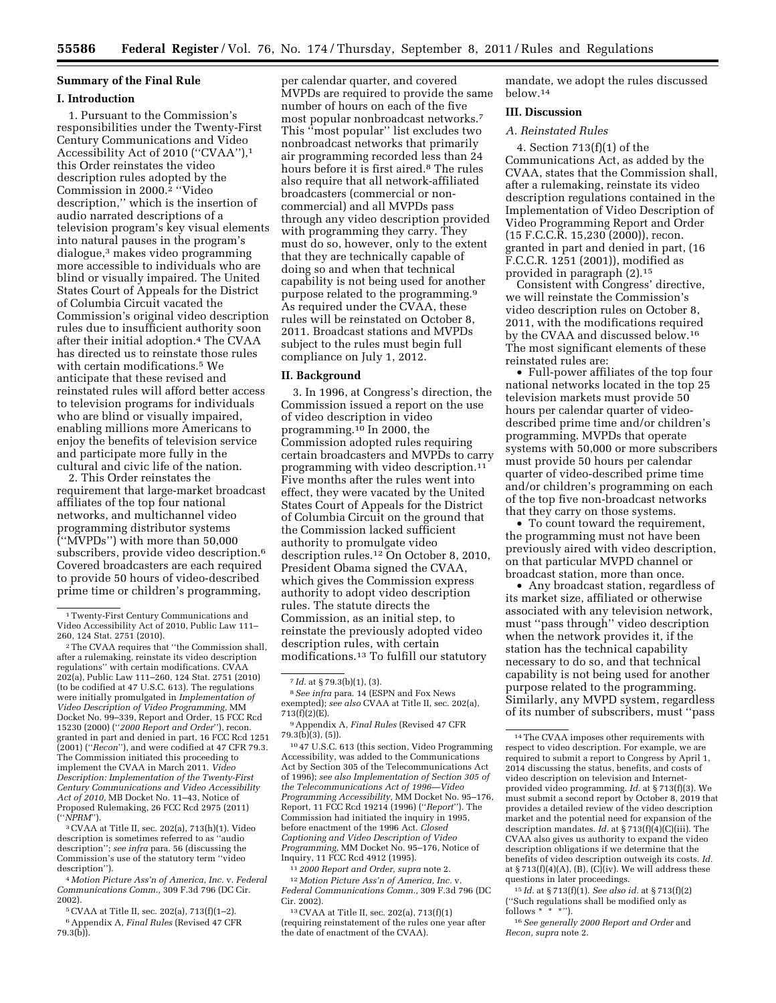# **Summary of the Final Rule**

#### **I. Introduction**

1. Pursuant to the Commission's responsibilities under the Twenty-First Century Communications and Video Accessibility Act of 2010 (''CVAA''),1 this Order reinstates the video description rules adopted by the Commission in 2000.<sup>2</sup> "Video description,'' which is the insertion of audio narrated descriptions of a television program's key visual elements into natural pauses in the program's dialogue,3 makes video programming more accessible to individuals who are blind or visually impaired. The United States Court of Appeals for the District of Columbia Circuit vacated the Commission's original video description rules due to insufficient authority soon after their initial adoption.4 The CVAA has directed us to reinstate those rules with certain modifications.5 We anticipate that these revised and reinstated rules will afford better access to television programs for individuals who are blind or visually impaired, enabling millions more Americans to enjoy the benefits of television service and participate more fully in the cultural and civic life of the nation.

2. This Order reinstates the requirement that large-market broadcast affiliates of the top four national networks, and multichannel video programming distributor systems (''MVPDs'') with more than 50,000 subscribers, provide video description.<sup>6</sup> Covered broadcasters are each required to provide 50 hours of video-described prime time or children's programming,

3CVAA at Title II, sec. 202(a), 713(h)(1). Video description is sometimes referred to as ''audio description''; *see infra* para. 56 (discussing the Commission's use of the statutory term ''video description'').

4 *Motion Picture Ass'n of America, Inc.* v. *Federal Communications Comm.,* 309 F.3d 796 (DC Cir. 2002).

5CVAA at Title II, sec. 202(a), 713(f)(1–2).

6Appendix A, *Final Rules* (Revised 47 CFR 79.3(b)).

per calendar quarter, and covered MVPDs are required to provide the same number of hours on each of the five most popular nonbroadcast networks.7 This ''most popular'' list excludes two nonbroadcast networks that primarily air programming recorded less than 24 hours before it is first aired.<sup>8</sup> The rules also require that all network-affiliated broadcasters (commercial or noncommercial) and all MVPDs pass through any video description provided with programming they carry. They must do so, however, only to the extent that they are technically capable of doing so and when that technical capability is not being used for another purpose related to the programming.9 As required under the CVAA, these rules will be reinstated on October 8, 2011. Broadcast stations and MVPDs subject to the rules must begin full compliance on July 1, 2012.

#### **II. Background**

3. In 1996, at Congress's direction, the Commission issued a report on the use of video description in video programming.10 In 2000, the Commission adopted rules requiring certain broadcasters and MVPDs to carry programming with video description.11 Five months after the rules went into effect, they were vacated by the United States Court of Appeals for the District of Columbia Circuit on the ground that the Commission lacked sufficient authority to promulgate video description rules.12 On October 8, 2010, President Obama signed the CVAA, which gives the Commission express authority to adopt video description rules. The statute directs the Commission, as an initial step, to reinstate the previously adopted video description rules, with certain modifications.13 To fulfill our statutory

8*See infra* para. 14 (ESPN and Fox News exempted); *see also* CVAA at Title II, sec. 202(a), 713(f)(2)(E).

10 47 U.S.C. 613 (this section, Video Programming Accessibility, was added to the Communications Act by Section 305 of the Telecommunications Act of 1996); *see also Implementation of Section 305 of the Telecommunications Act of 1996—Video Programming Accessibility,* MM Docket No. 95–176, Report, 11 FCC Rcd 19214 (1996) (''*Report*''). The Commission had initiated the inquiry in 1995, before enactment of the 1996 Act. *Closed Captioning and Video Description of Video Programming,* MM Docket No. 95–176, Notice of Inquiry, 11 FCC Rcd 4912 (1995).

11 *2000 Report and Order, supra* note 2. 12 *Motion Picture Ass'n of America, Inc.* v. *Federal Communications Comm.,* 309 F.3d 796 (DC Cir. 2002).

13CVAA at Title II, sec. 202(a), 713(f)(1) (requiring reinstatement of the rules one year after the date of enactment of the CVAA).

mandate, we adopt the rules discussed below.14

### **III. Discussion**

# *A. Reinstated Rules*

4. Section 713(f)(1) of the Communications Act, as added by the CVAA, states that the Commission shall, after a rulemaking, reinstate its video description regulations contained in the Implementation of Video Description of Video Programming Report and Order (15 F.C.C.R. 15,230 (2000)), recon. granted in part and denied in part, (16 F.C.C.R. 1251 (2001)), modified as provided in paragraph (2).15

Consistent with Congress' directive, we will reinstate the Commission's video description rules on October 8, 2011, with the modifications required by the CVAA and discussed below.16 The most significant elements of these reinstated rules are:

• Full-power affiliates of the top four national networks located in the top 25 television markets must provide 50 hours per calendar quarter of videodescribed prime time and/or children's programming. MVPDs that operate systems with 50,000 or more subscribers must provide 50 hours per calendar quarter of video-described prime time and/or children's programming on each of the top five non-broadcast networks that they carry on those systems.

• To count toward the requirement, the programming must not have been previously aired with video description, on that particular MVPD channel or broadcast station, more than once.

• Any broadcast station, regardless of its market size, affiliated or otherwise associated with any television network, must ''pass through'' video description when the network provides it, if the station has the technical capability necessary to do so, and that technical capability is not being used for another purpose related to the programming. Similarly, any MVPD system, regardless of its number of subscribers, must ''pass

15 *Id.* at § 713(f)(1). *See also id.* at § 713(f)(2) (''Such regulations shall be modified only as follows  $* * * "$ ).

16*See generally 2000 Report and Order* and *Recon, supra* note 2.

<sup>1</sup>Twenty-First Century Communications and Video Accessibility Act of 2010, Public Law 111– 260, 124 Stat. 2751 (2010).

<sup>2</sup>The CVAA requires that ''the Commission shall, after a rulemaking, reinstate its video description regulations'' with certain modifications. CVAA 202(a), Public Law 111–260, 124 Stat. 2751 (2010) (to be codified at 47 U.S.C. 613). The regulations were initially promulgated in *Implementation of Video Description of Video Programming,* MM Docket No. 99–339, Report and Order, 15 FCC Rcd 15230 (2000) (''*2000 Report and Order*''), recon. granted in part and denied in part, 16 FCC Rcd 1251 (2001) (''*Recon*''), and were codified at 47 CFR 79.3. The Commission initiated this proceeding to implement the CVAA in March 2011. *Video Description: Implementation of the Twenty-First Century Communications and Video Accessibility Act of 2010,* MB Docket No. 11–43, Notice of Proposed Rulemaking, 26 FCC Rcd 2975 (2011) (''*NPRM*'').

<sup>7</sup> *Id.* at § 79.3(b)(1), (3).

<sup>9</sup>Appendix A, *Final Rules* (Revised 47 CFR 79.3(b)(3), (5)).

<sup>14</sup>The CVAA imposes other requirements with respect to video description. For example, we are required to submit a report to Congress by April 1, 2014 discussing the status, benefits, and costs of video description on television and Internetprovided video programming. *Id.* at § 713(f)(3). We must submit a second report by October 8, 2019 that provides a detailed review of the video description market and the potential need for expansion of the description mandates. *Id.* at § 713(f)(4)(C)(iii). The CVAA also gives us authority to expand the video description obligations if we determine that the benefits of video description outweigh its costs. *Id.*  at  $\S 713(f)(4)(A)$ , (B), (C)(iv). We will address these questions in later proceedings.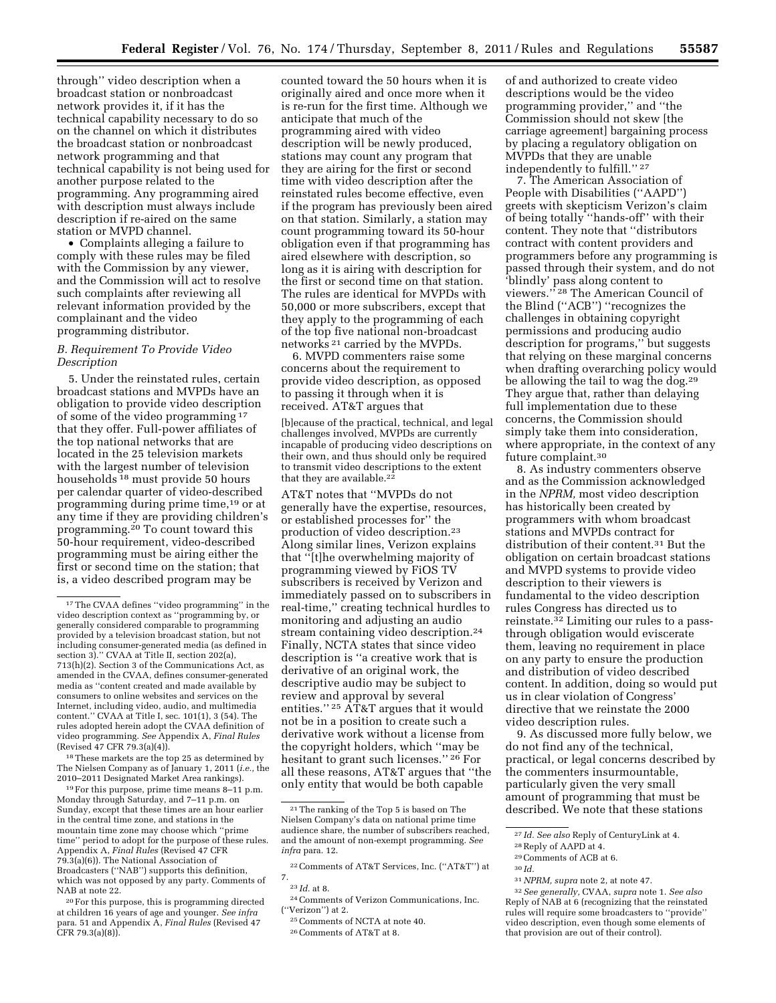through'' video description when a broadcast station or nonbroadcast network provides it, if it has the technical capability necessary to do so on the channel on which it distributes the broadcast station or nonbroadcast network programming and that technical capability is not being used for another purpose related to the programming. Any programming aired with description must always include description if re-aired on the same station or MVPD channel.

• Complaints alleging a failure to comply with these rules may be filed with the Commission by any viewer, and the Commission will act to resolve such complaints after reviewing all relevant information provided by the complainant and the video programming distributor.

### *B. Requirement To Provide Video Description*

5. Under the reinstated rules, certain broadcast stations and MVPDs have an obligation to provide video description of some of the video programming 17 that they offer. Full-power affiliates of the top national networks that are located in the 25 television markets with the largest number of television households 18 must provide 50 hours per calendar quarter of video-described programming during prime time,19 or at any time if they are providing children's programming.<sup>20</sup> To count toward this 50-hour requirement, video-described programming must be airing either the first or second time on the station; that is, a video described program may be

18These markets are the top 25 as determined by The Nielsen Company as of January 1, 2011 (*i.e.,* the 2010–2011 Designated Market Area rankings).

19For this purpose, prime time means 8–11 p.m. Monday through Saturday, and 7–11 p.m. on Sunday, except that these times are an hour earlier in the central time zone, and stations in the mountain time zone may choose which ''prime time'' period to adopt for the purpose of these rules. Appendix A, *Final Rules* (Revised 47 CFR 79.3(a)(6)). The National Association of Broadcasters (''NAB'') supports this definition, which was not opposed by any party. Comments of NAB at note 22.

20For this purpose, this is programming directed at children 16 years of age and younger. *See infra*  para. 51 and Appendix A, *Final Rules* (Revised 47 CFR 79.3(a)(8)).

counted toward the 50 hours when it is originally aired and once more when it is re-run for the first time. Although we anticipate that much of the programming aired with video description will be newly produced, stations may count any program that they are airing for the first or second time with video description after the reinstated rules become effective, even if the program has previously been aired on that station. Similarly, a station may count programming toward its 50-hour obligation even if that programming has aired elsewhere with description, so long as it is airing with description for the first or second time on that station. The rules are identical for MVPDs with 50,000 or more subscribers, except that they apply to the programming of each of the top five national non-broadcast networks 21 carried by the MVPDs.

6. MVPD commenters raise some concerns about the requirement to provide video description, as opposed to passing it through when it is received. AT&T argues that

[b]ecause of the practical, technical, and legal challenges involved, MVPDs are currently incapable of producing video descriptions on their own, and thus should only be required to transmit video descriptions to the extent that they are available.<sup>22</sup>

AT&T notes that ''MVPDs do not generally have the expertise, resources, or established processes for'' the production of video description.23 Along similar lines, Verizon explains that ''[t]he overwhelming majority of programming viewed by FiOS TV subscribers is received by Verizon and immediately passed on to subscribers in real-time,'' creating technical hurdles to monitoring and adjusting an audio stream containing video description.24 Finally, NCTA states that since video description is ''a creative work that is derivative of an original work, the descriptive audio may be subject to review and approval by several entities.'' 25 AT&T argues that it would not be in a position to create such a derivative work without a license from the copyright holders, which ''may be hesitant to grant such licenses.'' 26 For all these reasons, AT&T argues that ''the only entity that would be both capable

of and authorized to create video descriptions would be the video programming provider,'' and ''the Commission should not skew [the carriage agreement] bargaining process by placing a regulatory obligation on MVPDs that they are unable independently to fulfill.'' 27

7. The American Association of People with Disabilities (''AAPD'') greets with skepticism Verizon's claim of being totally ''hands-off'' with their content. They note that ''distributors contract with content providers and programmers before any programming is passed through their system, and do not 'blindly' pass along content to viewers.'' 28 The American Council of the Blind (''ACB'') ''recognizes the challenges in obtaining copyright permissions and producing audio description for programs,'' but suggests that relying on these marginal concerns when drafting overarching policy would be allowing the tail to wag the dog.29 They argue that, rather than delaying full implementation due to these concerns, the Commission should simply take them into consideration, where appropriate, in the context of any future complaint.30

8. As industry commenters observe and as the Commission acknowledged in the *NPRM,* most video description has historically been created by programmers with whom broadcast stations and MVPDs contract for distribution of their content.31 But the obligation on certain broadcast stations and MVPD systems to provide video description to their viewers is fundamental to the video description rules Congress has directed us to reinstate.32 Limiting our rules to a passthrough obligation would eviscerate them, leaving no requirement in place on any party to ensure the production and distribution of video described content. In addition, doing so would put us in clear violation of Congress' directive that we reinstate the 2000 video description rules.

9. As discussed more fully below, we do not find any of the technical, practical, or legal concerns described by the commenters insurmountable, particularly given the very small amount of programming that must be described. We note that these stations

<sup>17</sup>The CVAA defines ''video programming'' in the video description context as ''programming by, or generally considered comparable to programming provided by a television broadcast station, but not including consumer-generated media (as defined in section 3).'' CVAA at Title II, section 202(a), 713(h)(2). Section 3 of the Communications Act, as amended in the CVAA, defines consumer-generated media as ''content created and made available by consumers to online websites and services on the Internet, including video, audio, and multimedia content.'' CVAA at Title I, sec. 101(1), 3 (54). The rules adopted herein adopt the CVAA definition of video programming. *See* Appendix A, *Final Rules*  (Revised 47 CFR 79.3(a)(4)).

<sup>21</sup>The ranking of the Top 5 is based on The Nielsen Company's data on national prime time audience share, the number of subscribers reached, and the amount of non-exempt programming. *See infra* para. 12.

<sup>22</sup>Comments of AT&T Services, Inc. (''AT&T'') at 7.

<sup>23</sup> *Id.* at 8.

<sup>24</sup>Comments of Verizon Communications, Inc. (''Verizon'') at 2.

<sup>25</sup>Comments of NCTA at note 40.

<sup>26</sup>Comments of AT&T at 8.

<sup>27</sup> *Id. See also* Reply of CenturyLink at 4.

<sup>28</sup>Reply of AAPD at 4.

<sup>29</sup>Comments of ACB at 6.

<sup>30</sup> *Id.* 

<sup>31</sup>*NPRM, supra* note 2, at note 47.

<sup>32</sup>*See generally,* CVAA, *supra* note 1. *See also*  Reply of NAB at 6 (recognizing that the reinstated rules will require some broadcasters to ''provide'' video description, even though some elements of that provision are out of their control).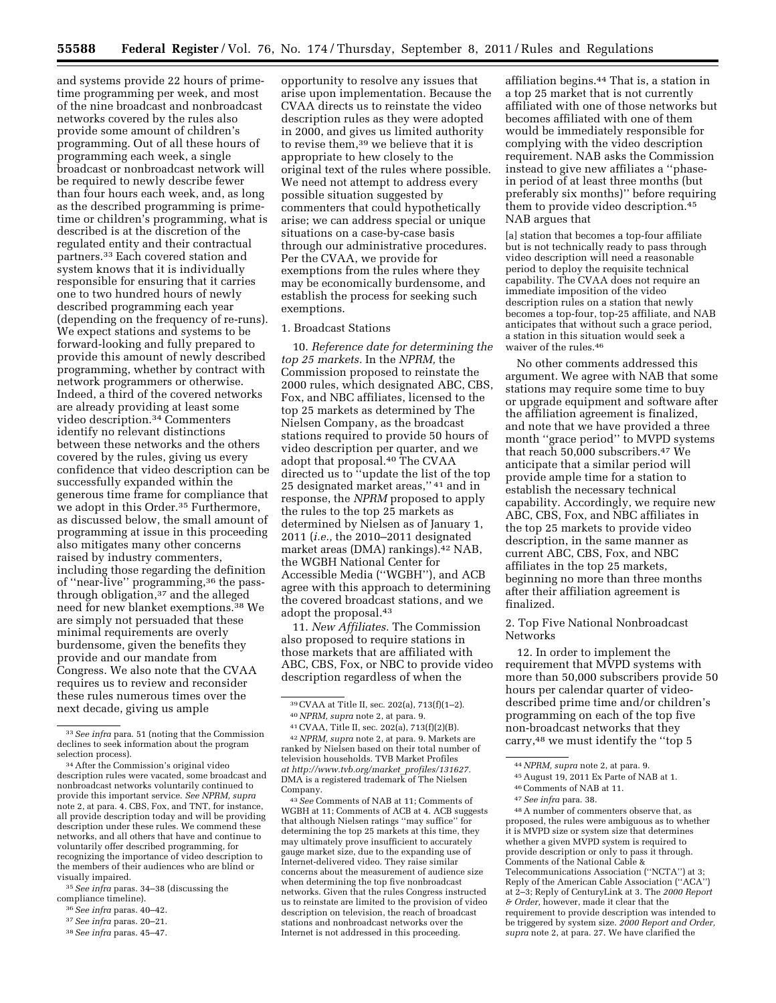and systems provide 22 hours of primetime programming per week, and most of the nine broadcast and nonbroadcast networks covered by the rules also provide some amount of children's programming. Out of all these hours of programming each week, a single broadcast or nonbroadcast network will be required to newly describe fewer than four hours each week, and, as long as the described programming is primetime or children's programming, what is described is at the discretion of the regulated entity and their contractual partners.33 Each covered station and system knows that it is individually responsible for ensuring that it carries one to two hundred hours of newly described programming each year (depending on the frequency of re-runs). We expect stations and systems to be forward-looking and fully prepared to provide this amount of newly described programming, whether by contract with network programmers or otherwise. Indeed, a third of the covered networks are already providing at least some video description.34 Commenters identify no relevant distinctions between these networks and the others covered by the rules, giving us every confidence that video description can be successfully expanded within the generous time frame for compliance that we adopt in this Order.35 Furthermore, as discussed below, the small amount of programming at issue in this proceeding also mitigates many other concerns raised by industry commenters, including those regarding the definition of ''near-live'' programming,36 the passthrough obligation,37 and the alleged need for new blanket exemptions.38 We are simply not persuaded that these minimal requirements are overly burdensome, given the benefits they provide and our mandate from Congress. We also note that the CVAA requires us to review and reconsider these rules numerous times over the next decade, giving us ample

35*See infra* paras. 34–38 (discussing the compliance timeline).

- 36*See infra* paras. 40–42.
- 37*See infra* paras. 20–21.
- 38*See infra* paras. 45–47.

opportunity to resolve any issues that arise upon implementation. Because the CVAA directs us to reinstate the video description rules as they were adopted in 2000, and gives us limited authority to revise them,39 we believe that it is appropriate to hew closely to the original text of the rules where possible. We need not attempt to address every possible situation suggested by commenters that could hypothetically arise; we can address special or unique situations on a case-by-case basis through our administrative procedures. Per the CVAA, we provide for exemptions from the rules where they may be economically burdensome, and establish the process for seeking such exemptions.

### 1. Broadcast Stations

10. *Reference date for determining the top 25 markets.* In the *NPRM,* the Commission proposed to reinstate the 2000 rules, which designated ABC, CBS, Fox, and NBC affiliates, licensed to the top 25 markets as determined by The Nielsen Company, as the broadcast stations required to provide 50 hours of video description per quarter, and we adopt that proposal.40 The CVAA directed us to ''update the list of the top 25 designated market areas,'' 41 and in response, the *NPRM* proposed to apply the rules to the top 25 markets as determined by Nielsen as of January 1, 2011 (*i.e.,* the 2010–2011 designated market areas (DMA) rankings).42 NAB, the WGBH National Center for Accessible Media (''WGBH''), and ACB agree with this approach to determining the covered broadcast stations, and we adopt the proposal.<sup>43</sup>

11. *New Affiliates.* The Commission also proposed to require stations in those markets that are affiliated with ABC, CBS, Fox, or NBC to provide video description regardless of when the

43*See* Comments of NAB at 11; Comments of WGBH at 11; Comments of ACB at 4. ACB suggests that although Nielsen ratings ''may suffice'' for determining the top 25 markets at this time, they may ultimately prove insufficient to accurately gauge market size, due to the expanding use of Internet-delivered video. They raise similar concerns about the measurement of audience size when determining the top five nonbroadcast networks. Given that the rules Congress instructed us to reinstate are limited to the provision of video description on television, the reach of broadcast stations and nonbroadcast networks over the Internet is not addressed in this proceeding.

affiliation begins.44 That is, a station in a top 25 market that is not currently affiliated with one of those networks but becomes affiliated with one of them would be immediately responsible for complying with the video description requirement. NAB asks the Commission instead to give new affiliates a ''phasein period of at least three months (but preferably six months)'' before requiring them to provide video description.45 NAB argues that

[a] station that becomes a top-four affiliate but is not technically ready to pass through video description will need a reasonable period to deploy the requisite technical capability. The CVAA does not require an immediate imposition of the video description rules on a station that newly becomes a top-four, top-25 affiliate, and NAB anticipates that without such a grace period, a station in this situation would seek a waiver of the rules.46

No other comments addressed this argument. We agree with NAB that some stations may require some time to buy or upgrade equipment and software after the affiliation agreement is finalized, and note that we have provided a three month ''grace period'' to MVPD systems that reach 50,000 subscribers.47 We anticipate that a similar period will provide ample time for a station to establish the necessary technical capability. Accordingly, we require new ABC, CBS, Fox, and NBC affiliates in the top 25 markets to provide video description, in the same manner as current ABC, CBS, Fox, and NBC affiliates in the top 25 markets, beginning no more than three months after their affiliation agreement is finalized.

2. Top Five National Nonbroadcast Networks

12. In order to implement the requirement that MVPD systems with more than 50,000 subscribers provide 50 hours per calendar quarter of videodescribed prime time and/or children's programming on each of the top five non-broadcast networks that they carry,48 we must identify the ''top 5

48A number of commenters observe that, as proposed, the rules were ambiguous as to whether it is MVPD size or system size that determines whether a given MVPD system is required to provide description or only to pass it through. Comments of the National Cable & Telecommunications Association (''NCTA'') at 3; Reply of the American Cable Association (''ACA'') at 2–3; Reply of CenturyLink at 3. The *2000 Report & Order,* however, made it clear that the requirement to provide description was intended to be triggered by system size. *2000 Report and Order, supra* note 2, at para. 27. We have clarified the

<sup>33</sup>*See infra* para. 51 (noting that the Commission declines to seek information about the program selection process).

<sup>34</sup>After the Commission's original video description rules were vacated, some broadcast and nonbroadcast networks voluntarily continued to provide this important service. *See NPRM, supra*  note 2, at para. 4. CBS, Fox, and TNT, for instance, all provide description today and will be providing description under these rules. We commend these networks, and all others that have and continue to voluntarily offer described programming, for recognizing the importance of video description to the members of their audiences who are blind or visually impaired.

<sup>39</sup>CVAA at Title II, sec. 202(a), 713(f)(1–2).

<sup>40</sup>*NPRM, supra* note 2, at para. 9.

<sup>41</sup>CVAA, Title II, sec. 202(a), 713(f)(2)(B). 42*NPRM, supra* note 2, at para. 9. Markets are ranked by Nielsen based on their total number of television households. TVB Market Profiles *at [http://www.tvb.org/market](http://www.tvb.org/market_profiles/131627)*\_*profiles/131627.*  DMA is a registered trademark of The Nielsen Company.

<sup>44</sup>*NPRM, supra* note 2, at para. 9.

<sup>45</sup>August 19, 2011 Ex Parte of NAB at 1.

<sup>46</sup>Comments of NAB at 11.

<sup>47</sup>*See infra* para. 38.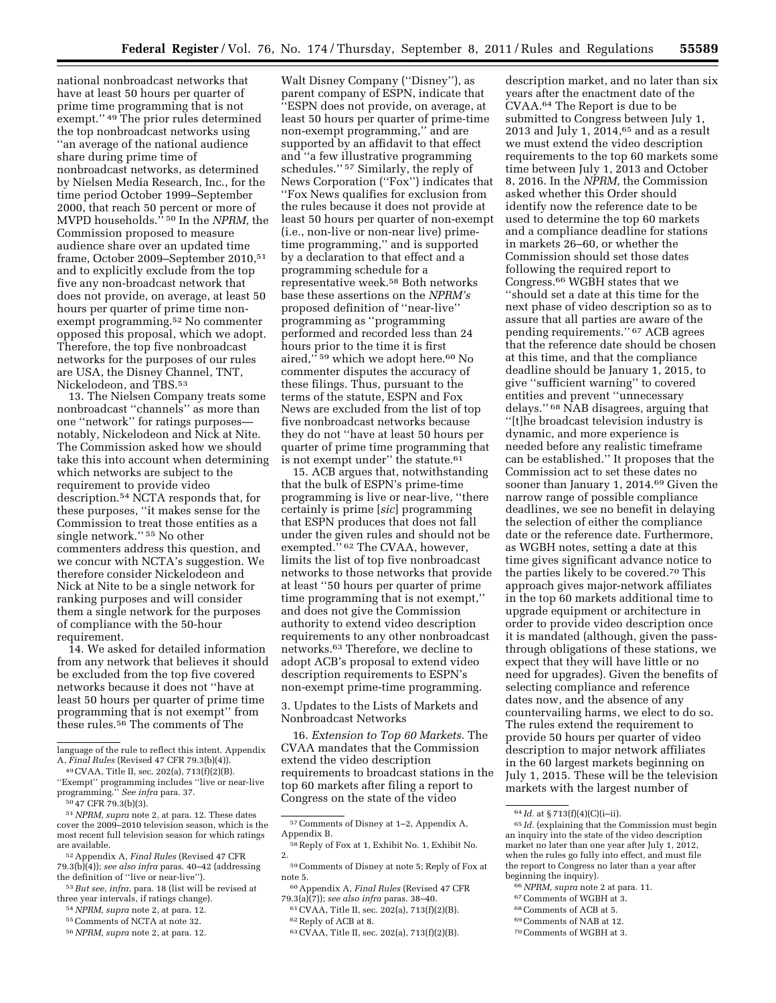national nonbroadcast networks that have at least 50 hours per quarter of prime time programming that is not exempt.'' 49 The prior rules determined the top nonbroadcast networks using ''an average of the national audience share during prime time of nonbroadcast networks, as determined by Nielsen Media Research, Inc., for the time period October 1999–September 2000, that reach 50 percent or more of MVPD households.'' 50 In the *NPRM,* the Commission proposed to measure audience share over an updated time frame, October 2009–September 2010,51 and to explicitly exclude from the top five any non-broadcast network that does not provide, on average, at least 50 hours per quarter of prime time nonexempt programming.52 No commenter opposed this proposal, which we adopt. Therefore, the top five nonbroadcast networks for the purposes of our rules are USA, the Disney Channel, TNT, Nickelodeon, and TBS.53

13. The Nielsen Company treats some nonbroadcast ''channels'' as more than one ''network'' for ratings purposes notably, Nickelodeon and Nick at Nite. The Commission asked how we should take this into account when determining which networks are subject to the requirement to provide video description.54 NCTA responds that, for these purposes, ''it makes sense for the Commission to treat those entities as a single network.'' 55 No other commenters address this question, and we concur with NCTA's suggestion. We therefore consider Nickelodeon and Nick at Nite to be a single network for ranking purposes and will consider them a single network for the purposes of compliance with the 50-hour requirement.

14. We asked for detailed information from any network that believes it should be excluded from the top five covered networks because it does not ''have at least 50 hours per quarter of prime time programming that is not exempt'' from these rules.56 The comments of The

56*NPRM, supra* note 2, at para. 12.

Walt Disney Company (''Disney''), as parent company of ESPN, indicate that ''ESPN does not provide, on average, at least 50 hours per quarter of prime-time non-exempt programming,'' and are supported by an affidavit to that effect and ''a few illustrative programming schedules.'' 57 Similarly, the reply of News Corporation (''Fox'') indicates that ''Fox News qualifies for exclusion from the rules because it does not provide at least 50 hours per quarter of non-exempt (i.e., non-live or non-near live) primetime programming,'' and is supported by a declaration to that effect and a programming schedule for a representative week.58 Both networks base these assertions on the *NPRM's*  proposed definition of ''near-live'' programming as ''programming performed and recorded less than 24 hours prior to the time it is first aired,"<sup>59</sup> which we adopt here.<sup>60</sup> No commenter disputes the accuracy of these filings. Thus, pursuant to the terms of the statute, ESPN and Fox News are excluded from the list of top five nonbroadcast networks because they do not ''have at least 50 hours per quarter of prime time programming that is not exempt under" the statute.<sup>61</sup>

15. ACB argues that, notwithstanding that the bulk of ESPN's prime-time programming is live or near-live, ''there certainly is prime [*sic*] programming that ESPN produces that does not fall under the given rules and should not be exempted."<sup>62</sup> The CVAA, however, limits the list of top five nonbroadcast networks to those networks that provide at least ''50 hours per quarter of prime time programming that is not exempt,'' and does not give the Commission authority to extend video description requirements to any other nonbroadcast networks.63 Therefore, we decline to adopt ACB's proposal to extend video description requirements to ESPN's non-exempt prime-time programming.

3. Updates to the Lists of Markets and Nonbroadcast Networks

16. *Extension to Top 60 Markets.* The CVAA mandates that the Commission extend the video description requirements to broadcast stations in the top 60 markets after filing a report to Congress on the state of the video

- 61CVAA, Title II, sec. 202(a), 713(f)(2)(B).
- 62Reply of ACB at 8.
- 63CVAA, Title II, sec. 202(a), 713(f)(2)(B).

description market, and no later than six years after the enactment date of the CVAA.64 The Report is due to be submitted to Congress between July 1, 2013 and July 1,  $2014,65$  and as a result we must extend the video description requirements to the top 60 markets some time between July 1, 2013 and October 8, 2016. In the *NPRM,* the Commission asked whether this Order should identify now the reference date to be used to determine the top 60 markets and a compliance deadline for stations in markets 26–60, or whether the Commission should set those dates following the required report to Congress.66 WGBH states that we ''should set a date at this time for the next phase of video description so as to assure that all parties are aware of the pending requirements.'' 67 ACB agrees that the reference date should be chosen at this time, and that the compliance deadline should be January 1, 2015, to give ''sufficient warning'' to covered entities and prevent ''unnecessary delays.'' 68 NAB disagrees, arguing that ''[t]he broadcast television industry is dynamic, and more experience is needed before any realistic timeframe can be established.'' It proposes that the Commission act to set these dates no sooner than January 1, 2014.69 Given the narrow range of possible compliance deadlines, we see no benefit in delaying the selection of either the compliance date or the reference date. Furthermore, as WGBH notes, setting a date at this time gives significant advance notice to the parties likely to be covered.70 This approach gives major-network affiliates in the top 60 markets additional time to upgrade equipment or architecture in order to provide video description once it is mandated (although, given the passthrough obligations of these stations, we expect that they will have little or no need for upgrades). Given the benefits of selecting compliance and reference dates now, and the absence of any countervailing harms, we elect to do so. The rules extend the requirement to provide 50 hours per quarter of video description to major network affiliates in the 60 largest markets beginning on July 1, 2015. These will be the television markets with the largest number of

- 67Comments of WGBH at 3.
- 68Comments of ACB at 5.

language of the rule to reflect this intent. Appendix A, *Final Rules* (Revised 47 CFR 79.3(b)(4)).

<sup>49</sup>CVAA, Title II, sec. 202(a), 713(f)(2)(B). ''Exempt'' programming includes ''live or near-live programming.'' *See infra* para. 37.

<sup>50</sup> 47 CFR 79.3(b)(3).

<sup>51</sup>*NPRM, supra* note 2, at para. 12. These dates cover the 2009–2010 television season, which is the most recent full television season for which ratings are available.

<sup>52</sup>Appendix A, *Final Rules* (Revised 47 CFR 79.3(b)(4)); *see also infra* paras. 40–42 (addressing the definition of ''live or near-live'').

<sup>53</sup>*But see, infra,* para. 18 (list will be revised at three year intervals, if ratings change).

<sup>54</sup>*NPRM, supra* note 2, at para. 12.

<sup>55</sup>Comments of NCTA at note 32.

<sup>57</sup>Comments of Disney at 1–2, Appendix A, Appendix B.

<sup>58</sup>Reply of Fox at 1, Exhibit No. 1, Exhibit No. 2.

<sup>59</sup>Comments of Disney at note 5; Reply of Fox at note 5.

<sup>60</sup>Appendix A, *Final Rules* (Revised 47 CFR 79.3(a)(7)); *see also infra* paras. 38–40.

<sup>64</sup> *Id.* at § 713(f)(4)(C)(i–ii).

<sup>&</sup>lt;sup>65</sup> *Id.* (explaining that the Commission must begin an inquiry into the state of the video description market no later than one year after July 1, 2012, when the rules go fully into effect, and must file the report to Congress no later than a year after beginning the inquiry).

<sup>66</sup>*NPRM, supra* note 2 at para. 11.

<sup>69</sup>Comments of NAB at 12.

<sup>70</sup>Comments of WGBH at 3.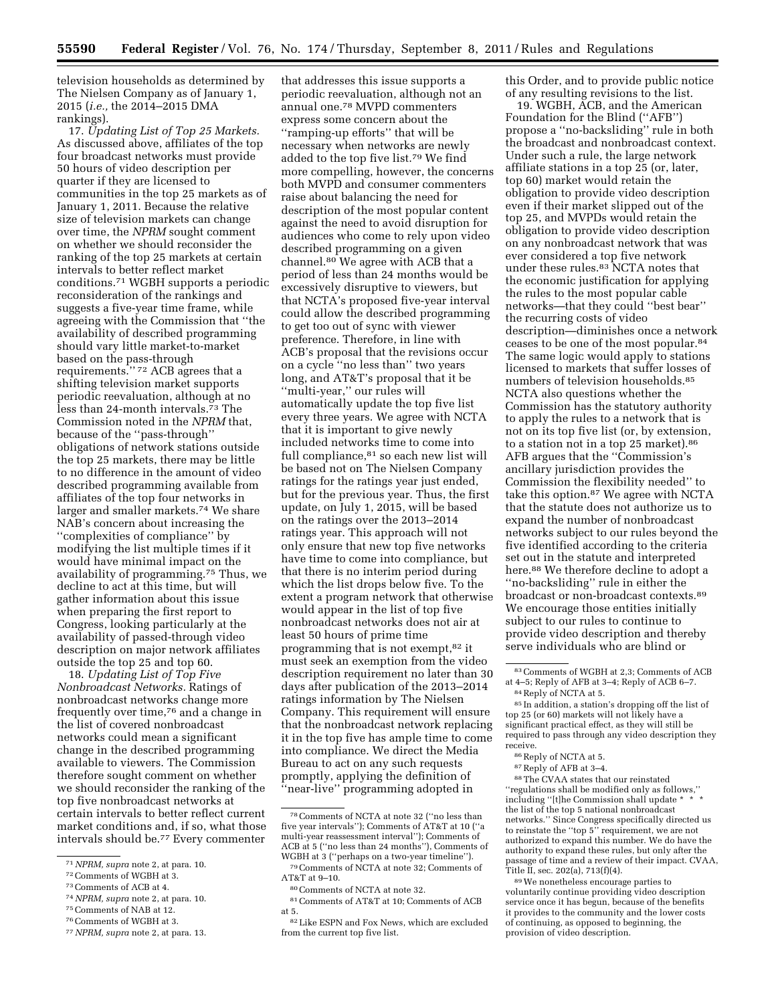television households as determined by The Nielsen Company as of January 1, 2015 (*i.e.,* the 2014–2015 DMA rankings).

17. *Updating List of Top 25 Markets.*  As discussed above, affiliates of the top four broadcast networks must provide 50 hours of video description per quarter if they are licensed to communities in the top 25 markets as of January 1, 2011. Because the relative size of television markets can change over time, the *NPRM* sought comment on whether we should reconsider the ranking of the top 25 markets at certain intervals to better reflect market conditions.71 WGBH supports a periodic reconsideration of the rankings and suggests a five-year time frame, while agreeing with the Commission that ''the availability of described programming should vary little market-to-market based on the pass-through requirements.'' 72 ACB agrees that a shifting television market supports periodic reevaluation, although at no less than 24-month intervals.73 The Commission noted in the *NPRM* that, because of the ''pass-through'' obligations of network stations outside the top 25 markets, there may be little to no difference in the amount of video described programming available from affiliates of the top four networks in larger and smaller markets.74 We share NAB's concern about increasing the ''complexities of compliance'' by modifying the list multiple times if it would have minimal impact on the availability of programming.75 Thus, we decline to act at this time, but will gather information about this issue when preparing the first report to Congress, looking particularly at the availability of passed-through video description on major network affiliates outside the top 25 and top 60.

18. *Updating List of Top Five Nonbroadcast Networks.* Ratings of nonbroadcast networks change more frequently over time,76 and a change in the list of covered nonbroadcast networks could mean a significant change in the described programming available to viewers. The Commission therefore sought comment on whether we should reconsider the ranking of the top five nonbroadcast networks at certain intervals to better reflect current market conditions and, if so, what those intervals should be.77 Every commenter

- 73Comments of ACB at 4.
- 74*NPRM, supra* note 2, at para. 10.
- 75Comments of NAB at 12.
- 76Comments of WGBH at 3.

that addresses this issue supports a periodic reevaluation, although not an annual one.78 MVPD commenters express some concern about the ''ramping-up efforts'' that will be necessary when networks are newly added to the top five list.79 We find more compelling, however, the concerns both MVPD and consumer commenters raise about balancing the need for description of the most popular content against the need to avoid disruption for audiences who come to rely upon video described programming on a given channel.80 We agree with ACB that a period of less than 24 months would be excessively disruptive to viewers, but that NCTA's proposed five-year interval could allow the described programming to get too out of sync with viewer preference. Therefore, in line with ACB's proposal that the revisions occur on a cycle ''no less than'' two years long, and AT&T's proposal that it be ''multi-year,'' our rules will automatically update the top five list every three years. We agree with NCTA that it is important to give newly included networks time to come into full compliance,<sup>81</sup> so each new list will be based not on The Nielsen Company ratings for the ratings year just ended, but for the previous year. Thus, the first update, on July 1, 2015, will be based on the ratings over the 2013–2014 ratings year. This approach will not only ensure that new top five networks have time to come into compliance, but that there is no interim period during which the list drops below five. To the extent a program network that otherwise would appear in the list of top five nonbroadcast networks does not air at least 50 hours of prime time programming that is not exempt,82 it must seek an exemption from the video description requirement no later than 30 days after publication of the 2013–2014 ratings information by The Nielsen Company. This requirement will ensure that the nonbroadcast network replacing it in the top five has ample time to come into compliance. We direct the Media Bureau to act on any such requests promptly, applying the definition of ''near-live'' programming adopted in

79Comments of NCTA at note 32; Comments of AT&T at 9–10.

this Order, and to provide public notice of any resulting revisions to the list.

19. WGBH, ACB, and the American Foundation for the Blind (''AFB'') propose a ''no-backsliding'' rule in both the broadcast and nonbroadcast context. Under such a rule, the large network affiliate stations in a top 25 (or, later, top 60) market would retain the obligation to provide video description even if their market slipped out of the top 25, and MVPDs would retain the obligation to provide video description on any nonbroadcast network that was ever considered a top five network under these rules.<sup>83</sup> NCTA notes that the economic justification for applying the rules to the most popular cable networks—that they could ''best bear'' the recurring costs of video description—diminishes once a network ceases to be one of the most popular.84 The same logic would apply to stations licensed to markets that suffer losses of numbers of television households.85 NCTA also questions whether the Commission has the statutory authority to apply the rules to a network that is not on its top five list (or, by extension, to a station not in a top 25 market).<sup>86</sup> AFB argues that the ''Commission's ancillary jurisdiction provides the Commission the flexibility needed'' to take this option.87 We agree with NCTA that the statute does not authorize us to expand the number of nonbroadcast networks subject to our rules beyond the five identified according to the criteria set out in the statute and interpreted here.88 We therefore decline to adopt a ''no-backsliding'' rule in either the broadcast or non-broadcast contexts.89 We encourage those entities initially subject to our rules to continue to provide video description and thereby serve individuals who are blind or

85 In addition, a station's dropping off the list of top 25 (or 60) markets will not likely have a significant practical effect, as they will still be required to pass through any video description they receive.

- 86Reply of NCTA at 5.
- 87Reply of AFB at 3–4.

88The CVAA states that our reinstated ''regulations shall be modified only as follows,'' including "[t]he Commission shall update \* the list of the top 5 national nonbroadcast networks.'' Since Congress specifically directed us to reinstate the "top 5" requirement, we are not authorized to expand this number. We do have the authority to expand these rules, but only after the passage of time and a review of their impact. CVAA, Title II, sec. 202(a), 713(f)(4).

89We nonetheless encourage parties to voluntarily continue providing video description service once it has begun, because of the benefits it provides to the community and the lower costs of continuing, as opposed to beginning, the provision of video description.

<sup>71</sup>*NPRM, supra* note 2, at para. 10.

<sup>72</sup>Comments of WGBH at 3.

<sup>77</sup>*NPRM, supra* note 2, at para. 13.

<sup>78</sup>Comments of NCTA at note 32 (''no less than five year intervals''); Comments of AT&T at 10 (''a multi-year reassessment interval''); Comments of ACB at 5 (''no less than 24 months''), Comments of WGBH at 3 (''perhaps on a two-year timeline'').

<sup>80</sup>Comments of NCTA at note 32.

<sup>81</sup>Comments of AT&T at 10; Comments of ACB at 5.

<sup>82</sup>Like ESPN and Fox News, which are excluded from the current top five list.

<sup>83</sup>Comments of WGBH at 2,3; Comments of ACB at 4–5; Reply of AFB at 3–4; Reply of ACB 6–7. 84Reply of NCTA at 5.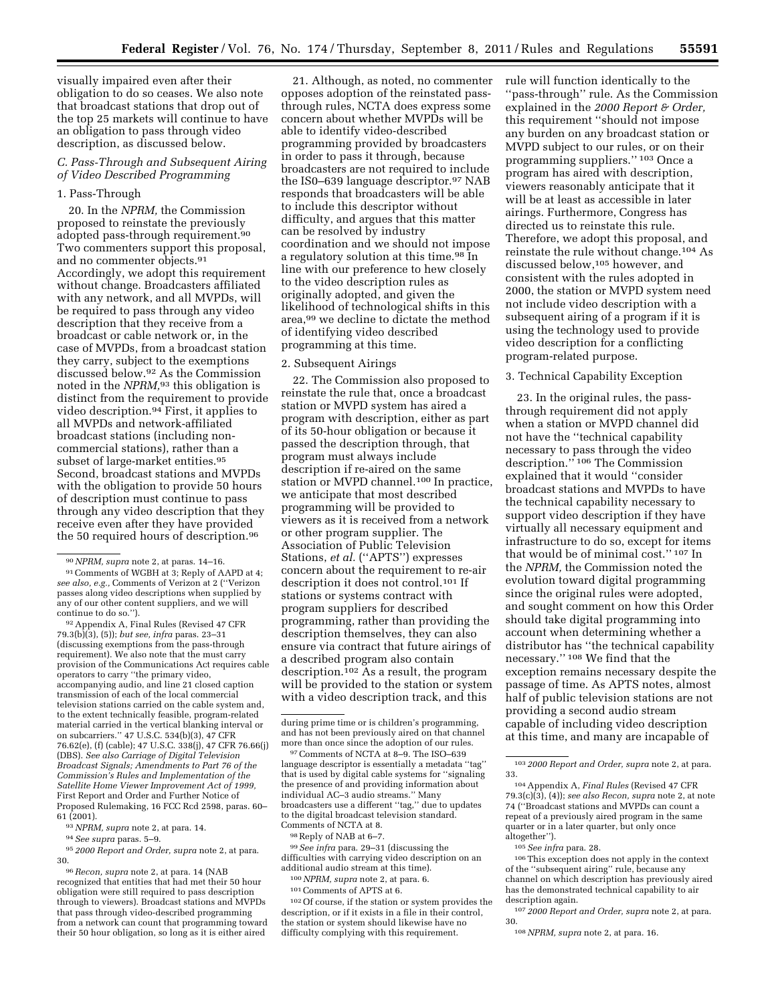visually impaired even after their obligation to do so ceases. We also note that broadcast stations that drop out of the top 25 markets will continue to have an obligation to pass through video description, as discussed below.

# *C. Pass-Through and Subsequent Airing of Video Described Programming*

### 1. Pass-Through

20. In the *NPRM,* the Commission proposed to reinstate the previously adopted pass-through requirement.90 Two commenters support this proposal, and no commenter objects.91 Accordingly, we adopt this requirement without change. Broadcasters affiliated with any network, and all MVPDs, will be required to pass through any video description that they receive from a broadcast or cable network or, in the case of MVPDs, from a broadcast station they carry, subject to the exemptions discussed below.92 As the Commission noted in the *NPRM,*93 this obligation is distinct from the requirement to provide video description.94 First, it applies to all MVPDs and network-affiliated broadcast stations (including noncommercial stations), rather than a subset of large-market entities.95 Second, broadcast stations and MVPDs with the obligation to provide 50 hours of description must continue to pass through any video description that they receive even after they have provided the 50 required hours of description.96

92Appendix A, Final Rules (Revised 47 CFR 79.3(b)(3), (5)); *but see, infra* paras. 23–31 (discussing exemptions from the pass-through requirement). We also note that the must carry provision of the Communications Act requires cable operators to carry ''the primary video, accompanying audio, and line 21 closed caption transmission of each of the local commercial television stations carried on the cable system and, to the extent technically feasible, program-related material carried in the vertical blanking interval or on subcarriers.'' 47 U.S.C. 534(b)(3), 47 CFR 76.62(e), (f) (cable); 47 U.S.C. 338(j), 47 CFR 76.66(j) (DBS). *See also Carriage of Digital Television Broadcast Signals; Amendments to Part 76 of the Commission's Rules and Implementation of the Satellite Home Viewer Improvement Act of 1999,*  First Report and Order and Further Notice of Proposed Rulemaking, 16 FCC Rcd 2598, paras. 60– 61 (2001).

93*NPRM, supra* note 2, at para. 14.

94*See supra* paras. 5–9.

95 *2000 Report and Order, supra* note 2, at para. 30.

96*Recon, supra* note 2, at para. 14 (NAB recognized that entities that had met their 50 hour obligation were still required to pass description through to viewers). Broadcast stations and MVPDs that pass through video-described programming from a network can count that programming toward their 50 hour obligation, so long as it is either aired

21. Although, as noted, no commenter opposes adoption of the reinstated passthrough rules, NCTA does express some concern about whether MVPDs will be able to identify video-described programming provided by broadcasters in order to pass it through, because broadcasters are not required to include the IS0–639 language descriptor.97 NAB responds that broadcasters will be able to include this descriptor without difficulty, and argues that this matter can be resolved by industry coordination and we should not impose a regulatory solution at this time.98 In line with our preference to hew closely to the video description rules as originally adopted, and given the likelihood of technological shifts in this area,99 we decline to dictate the method of identifying video described programming at this time.

#### 2. Subsequent Airings

22. The Commission also proposed to reinstate the rule that, once a broadcast station or MVPD system has aired a program with description, either as part of its 50-hour obligation or because it passed the description through, that program must always include description if re-aired on the same station or MVPD channel.<sup>100</sup> In practice, we anticipate that most described programming will be provided to viewers as it is received from a network or other program supplier. The Association of Public Television Stations, *et al.* ("APTS") expresses concern about the requirement to re-air description it does not control.101 If stations or systems contract with program suppliers for described programming, rather than providing the description themselves, they can also ensure via contract that future airings of a described program also contain description.102 As a result, the program will be provided to the station or system with a video description track, and this

97Comments of NCTA at 8–9. The ISO–639 language descriptor is essentially a metadata ''tag'' that is used by digital cable systems for ''signaling the presence of and providing information about individual AC–3 audio streams.'' Many broadcasters use a different ''tag,'' due to updates to the digital broadcast television standard. Comments of NCTA at 8.

98Reply of NAB at 6–7.

99*See infra* para. 29–31 (discussing the difficulties with carrying video description on an additional audio stream at this time).

100*NPRM, supra* note 2, at para. 6.

101Comments of APTS at 6.

102Of course, if the station or system provides the description, or if it exists in a file in their control, the station or system should likewise have no difficulty complying with this requirement.

rule will function identically to the ''pass-through'' rule. As the Commission explained in the *2000 Report & Order,*  this requirement ''should not impose any burden on any broadcast station or MVPD subject to our rules, or on their programming suppliers.'' 103 Once a program has aired with description, viewers reasonably anticipate that it will be at least as accessible in later airings. Furthermore, Congress has directed us to reinstate this rule. Therefore, we adopt this proposal, and reinstate the rule without change.104 As discussed below,<sup>105</sup> however, and consistent with the rules adopted in 2000, the station or MVPD system need not include video description with a subsequent airing of a program if it is using the technology used to provide video description for a conflicting program-related purpose.

3. Technical Capability Exception

23. In the original rules, the passthrough requirement did not apply when a station or MVPD channel did not have the ''technical capability necessary to pass through the video description.'' 106 The Commission explained that it would ''consider broadcast stations and MVPDs to have the technical capability necessary to support video description if they have virtually all necessary equipment and infrastructure to do so, except for items that would be of minimal cost.'' 107 In the *NPRM,* the Commission noted the evolution toward digital programming since the original rules were adopted, and sought comment on how this Order should take digital programming into account when determining whether a distributor has ''the technical capability necessary.'' 108 We find that the exception remains necessary despite the passage of time. As APTS notes, almost half of public television stations are not providing a second audio stream capable of including video description at this time, and many are incapable of

107 *2000 Report and Order, supra* note 2, at para. 30.

108*NPRM, supra* note 2, at para. 16.

<sup>90</sup>*NPRM, supra* note 2, at paras. 14–16.

<sup>91</sup>Comments of WGBH at 3; Reply of AAPD at 4; *see also, e.g.,* Comments of Verizon at 2 (''Verizon passes along video descriptions when supplied by any of our other content suppliers, and we will continue to do so.'').

during prime time or is children's programming, and has not been previously aired on that channel more than once since the adoption of our rules.

<sup>103</sup> *2000 Report and Order, supra* note 2, at para. 33.

<sup>104</sup>Appendix A, *Final Rules* (Revised 47 CFR 79.3(c)(3), (4)); *see also Recon, supra* note 2, at note 74 (''Broadcast stations and MVPDs can count a repeat of a previously aired program in the same quarter or in a later quarter, but only once altogether'').

<sup>105</sup>*See infra* para. 28.

<sup>106</sup>This exception does not apply in the context of the ''subsequent airing'' rule, because any channel on which description has previously aired has the demonstrated technical capability to air description again.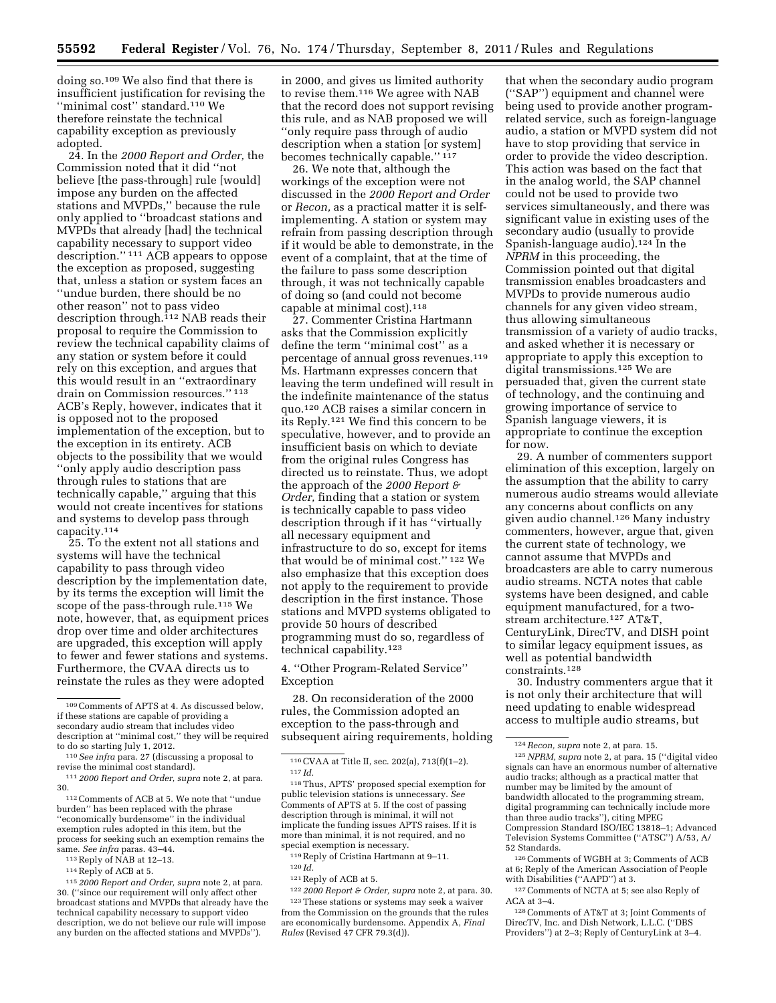doing so.109 We also find that there is insufficient justification for revising the ''minimal cost'' standard.110 We therefore reinstate the technical capability exception as previously adopted.

24. In the *2000 Report and Order,* the Commission noted that it did ''not believe [the pass-through] rule [would] impose any burden on the affected stations and MVPDs,'' because the rule only applied to ''broadcast stations and MVPDs that already [had] the technical capability necessary to support video description.'' 111 ACB appears to oppose the exception as proposed, suggesting that, unless a station or system faces an ''undue burden, there should be no other reason'' not to pass video description through.<sup>112</sup> NAB reads their proposal to require the Commission to review the technical capability claims of any station or system before it could rely on this exception, and argues that this would result in an ''extraordinary drain on Commission resources.'' 113 ACB's Reply, however, indicates that it is opposed not to the proposed implementation of the exception, but to the exception in its entirety. ACB objects to the possibility that we would ''only apply audio description pass through rules to stations that are technically capable,'' arguing that this would not create incentives for stations and systems to develop pass through capacity.114

25. To the extent not all stations and systems will have the technical capability to pass through video description by the implementation date, by its terms the exception will limit the scope of the pass-through rule.<sup>115</sup> We note, however, that, as equipment prices drop over time and older architectures are upgraded, this exception will apply to fewer and fewer stations and systems. Furthermore, the CVAA directs us to reinstate the rules as they were adopted

115 *2000 Report and Order, supra* note 2, at para. 30. (''since our requirement will only affect other broadcast stations and MVPDs that already have the technical capability necessary to support video description, we do not believe our rule will impose any burden on the affected stations and MVPDs").

in 2000, and gives us limited authority to revise them.116 We agree with NAB that the record does not support revising this rule, and as NAB proposed we will ''only require pass through of audio description when a station [or system] becomes technically capable.'' 117

26. We note that, although the workings of the exception were not discussed in the *2000 Report and Order*  or *Recon,* as a practical matter it is selfimplementing. A station or system may refrain from passing description through if it would be able to demonstrate, in the event of a complaint, that at the time of the failure to pass some description through, it was not technically capable of doing so (and could not become capable at minimal cost).118

27. Commenter Cristina Hartmann asks that the Commission explicitly define the term ''minimal cost'' as a percentage of annual gross revenues.119 Ms. Hartmann expresses concern that leaving the term undefined will result in the indefinite maintenance of the status quo.120 ACB raises a similar concern in its Reply.121 We find this concern to be speculative, however, and to provide an insufficient basis on which to deviate from the original rules Congress has directed us to reinstate. Thus, we adopt the approach of the *2000 Report & Order,* finding that a station or system is technically capable to pass video description through if it has ''virtually all necessary equipment and infrastructure to do so, except for items that would be of minimal cost.'' 122 We also emphasize that this exception does not apply to the requirement to provide description in the first instance. Those stations and MVPD systems obligated to provide 50 hours of described programming must do so, regardless of technical capability.123

4. ''Other Program-Related Service'' Exception

28. On reconsideration of the 2000 rules, the Commission adopted an exception to the pass-through and subsequent airing requirements, holding

119Reply of Cristina Hartmann at 9–11.

*Rules* (Revised 47 CFR 79.3(d)).

122 *2000 Report & Order, supra* note 2, at para. 30. 123These stations or systems may seek a waiver from the Commission on the grounds that the rules are economically burdensome. Appendix A, *Final* 

that when the secondary audio program (''SAP'') equipment and channel were being used to provide another programrelated service, such as foreign-language audio, a station or MVPD system did not have to stop providing that service in order to provide the video description. This action was based on the fact that in the analog world, the SAP channel could not be used to provide two services simultaneously, and there was significant value in existing uses of the secondary audio (usually to provide Spanish-language audio).<sup>124</sup> In the *NPRM* in this proceeding, the Commission pointed out that digital transmission enables broadcasters and MVPDs to provide numerous audio channels for any given video stream, thus allowing simultaneous transmission of a variety of audio tracks, and asked whether it is necessary or appropriate to apply this exception to digital transmissions.125 We are persuaded that, given the current state of technology, and the continuing and growing importance of service to Spanish language viewers, it is appropriate to continue the exception for now.

29. A number of commenters support elimination of this exception, largely on the assumption that the ability to carry numerous audio streams would alleviate any concerns about conflicts on any given audio channel.126 Many industry commenters, however, argue that, given the current state of technology, we cannot assume that MVPDs and broadcasters are able to carry numerous audio streams. NCTA notes that cable systems have been designed, and cable equipment manufactured, for a twostream architecture.<sup>127</sup> AT&T, CenturyLink, DirecTV, and DISH point to similar legacy equipment issues, as well as potential bandwidth constraints.128

30. Industry commenters argue that it is not only their architecture that will need updating to enable widespread access to multiple audio streams, but

126 Comments of WGBH at 3; Comments of ACB at 6; Reply of the American Association of People with Disabilities (''AAPD'') at 3.

128Comments of AT&T at 3; Joint Comments of DirecTV, Inc. and Dish Network, L.L.C. (''DBS Providers'') at 2–3; Reply of CenturyLink at 3–4.

<sup>109</sup>Comments of APTS at 4. As discussed below, if these stations are capable of providing a secondary audio stream that includes video description at ''minimal cost,'' they will be required

to do so starting July 1, 2012. 110*See infra* para. 27 (discussing a proposal to

revise the minimal cost standard). 111 *2000 Report and Order, supra* note 2, at para. 30. 112Comments of ACB at 5. We note that ''undue

burden'' has been replaced with the phrase ''economically burdensome'' in the individual exemption rules adopted in this item, but the process for seeking such an exemption remains the same. *See infra* paras. 43–44.

<sup>113</sup>Reply of NAB at 12–13.

<sup>114</sup>Reply of ACB at 5.

<sup>116</sup>CVAA at Title II, sec. 202(a), 713(f)(1–2). 117 *Id.* 

<sup>118</sup>Thus, APTS' proposed special exemption for public television stations is unnecessary. *See*  Comments of APTS at 5. If the cost of passing description through is minimal, it will not implicate the funding issues APTS raises. If it is more than minimal, it is not required, and no special exemption is necessary.

<sup>120</sup> *Id.* 

<sup>121</sup>Reply of ACB at 5.

<sup>124</sup>*Recon, supra* note 2, at para. 15.

<sup>125</sup>*NPRM, supra* note 2, at para. 15 (''digital video signals can have an enormous number of alternative audio tracks; although as a practical matter that number may be limited by the amount of bandwidth allocated to the programming stream, digital programming can technically include more than three audio tracks''), citing MPEG Compression Standard ISO/IEC 13818–1; Advanced Television Systems Committee (''ATSC'') A/53, A/ 52 Standards.

<sup>127</sup>Comments of NCTA at 5; see also Reply of ACA at 3–4.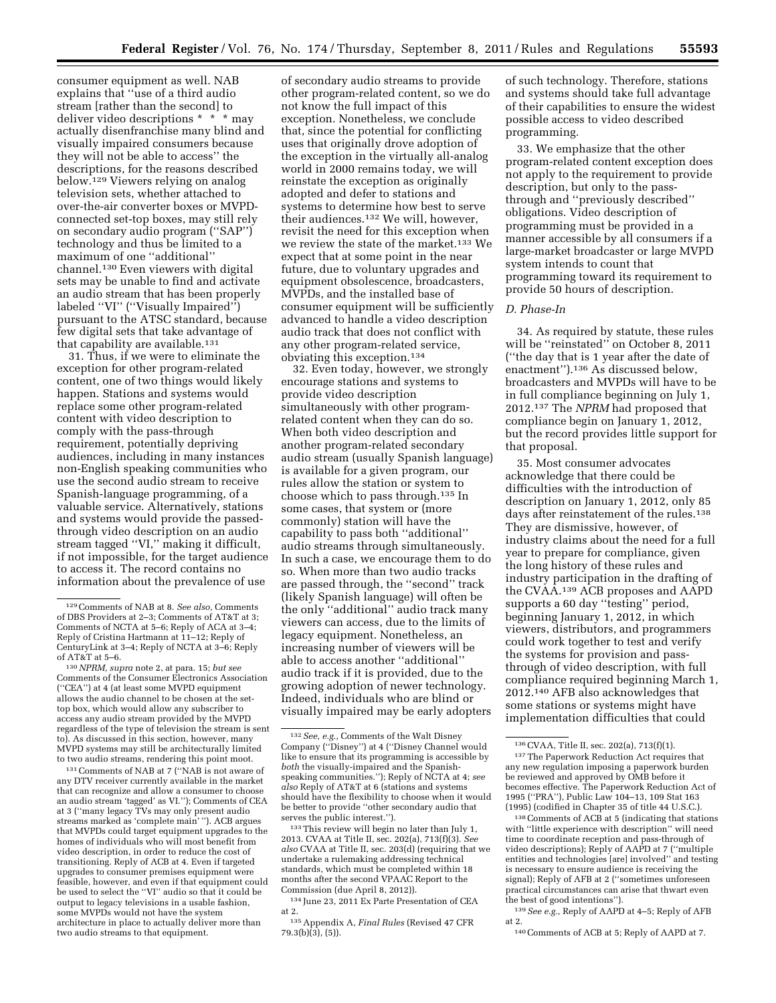consumer equipment as well. NAB explains that ''use of a third audio stream [rather than the second] to deliver video descriptions \* \* \* may actually disenfranchise many blind and visually impaired consumers because they will not be able to access'' the descriptions, for the reasons described below.129 Viewers relying on analog television sets, whether attached to over-the-air converter boxes or MVPDconnected set-top boxes, may still rely on secondary audio program (''SAP'') technology and thus be limited to a maximum of one ''additional'' channel.130 Even viewers with digital sets may be unable to find and activate an audio stream that has been properly labeled ''VI'' (''Visually Impaired'') pursuant to the ATSC standard, because few digital sets that take advantage of that capability are available.<sup>131</sup>

31. Thus, if we were to eliminate the exception for other program-related content, one of two things would likely happen. Stations and systems would replace some other program-related content with video description to comply with the pass-through requirement, potentially depriving audiences, including in many instances non-English speaking communities who use the second audio stream to receive Spanish-language programming, of a valuable service. Alternatively, stations and systems would provide the passedthrough video description on an audio stream tagged ''VI,'' making it difficult, if not impossible, for the target audience to access it. The record contains no information about the prevalence of use

131Comments of NAB at 7 (''NAB is not aware of any DTV receiver currently available in the market that can recognize and allow a consumer to choose an audio stream 'tagged' as VI.''); Comments of CEA at 3 (''many legacy TVs may only present audio streams marked as 'complete main' ''). ACB argues that MVPDs could target equipment upgrades to the homes of individuals who will most benefit from video description, in order to reduce the cost of transitioning. Reply of ACB at 4. Even if targeted upgrades to consumer premises equipment were feasible, however, and even if that equipment could be used to select the ''VI'' audio so that it could be output to legacy televisions in a usable fashion, some MVPDs would not have the system architecture in place to actually deliver more than two audio streams to that equipment.

of secondary audio streams to provide other program-related content, so we do not know the full impact of this exception. Nonetheless, we conclude that, since the potential for conflicting uses that originally drove adoption of the exception in the virtually all-analog world in 2000 remains today, we will reinstate the exception as originally adopted and defer to stations and systems to determine how best to serve their audiences.132 We will, however, revisit the need for this exception when we review the state of the market.133 We expect that at some point in the near future, due to voluntary upgrades and equipment obsolescence, broadcasters, MVPDs, and the installed base of consumer equipment will be sufficiently advanced to handle a video description audio track that does not conflict with any other program-related service, obviating this exception.134

32. Even today, however, we strongly encourage stations and systems to provide video description simultaneously with other programrelated content when they can do so. When both video description and another program-related secondary audio stream (usually Spanish language) is available for a given program, our rules allow the station or system to choose which to pass through.135 In some cases, that system or (more commonly) station will have the capability to pass both ''additional'' audio streams through simultaneously. In such a case, we encourage them to do so. When more than two audio tracks are passed through, the ''second'' track (likely Spanish language) will often be the only ''additional'' audio track many viewers can access, due to the limits of legacy equipment. Nonetheless, an increasing number of viewers will be able to access another ''additional'' audio track if it is provided, due to the growing adoption of newer technology. Indeed, individuals who are blind or visually impaired may be early adopters

133This review will begin no later than July 1, 2013. CVAA at Title II, sec. 202(a), 713(f)(3). *See also* CVAA at Title II, sec. 203(d) (requiring that we undertake a rulemaking addressing technical standards, which must be completed within 18 months after the second VPAAC Report to the Commission (due April 8, 2012)).

134 June 23, 2011 Ex Parte Presentation of CEA at 2.

135Appendix A, *Final Rules* (Revised 47 CFR  $79.3(b)(3), (5)$ ).

of such technology. Therefore, stations and systems should take full advantage of their capabilities to ensure the widest possible access to video described programming.

33. We emphasize that the other program-related content exception does not apply to the requirement to provide description, but only to the passthrough and ''previously described'' obligations. Video description of programming must be provided in a manner accessible by all consumers if a large-market broadcaster or large MVPD system intends to count that programming toward its requirement to provide 50 hours of description.

#### *D. Phase-In*

34. As required by statute, these rules will be ''reinstated'' on October 8, 2011 (''the day that is 1 year after the date of enactment'').136 As discussed below, broadcasters and MVPDs will have to be in full compliance beginning on July 1, 2012.137 The *NPRM* had proposed that compliance begin on January 1, 2012, but the record provides little support for that proposal.

35. Most consumer advocates acknowledge that there could be difficulties with the introduction of description on January 1, 2012, only 85 days after reinstatement of the rules.<sup>138</sup> They are dismissive, however, of industry claims about the need for a full year to prepare for compliance, given the long history of these rules and industry participation in the drafting of the CVAA.139 ACB proposes and AAPD supports a 60 day ''testing'' period, beginning January 1, 2012, in which viewers, distributors, and programmers could work together to test and verify the systems for provision and passthrough of video description, with full compliance required beginning March 1, 2012.140 AFB also acknowledges that some stations or systems might have implementation difficulties that could

(1995) (codified in Chapter 35 of title 44 U.S.C.). 138Comments of ACB at 5 (indicating that stations with ''little experience with description'' will need time to coordinate reception and pass-through of video descriptions); Reply of AAPD at 7 (''multiple entities and technologies [are] involved'' and testing is necessary to ensure audience is receiving the signal); Reply of AFB at 2 (''sometimes unforeseen practical circumstances can arise that thwart even the best of good intentions'').

139*See e.g.,* Reply of AAPD at 4–5; Reply of AFB at 2.

140Comments of ACB at 5; Reply of AAPD at 7.

<sup>129</sup>Comments of NAB at 8. *See also,* Comments of DBS Providers at 2–3; Comments of AT&T at 3; Comments of NCTA at 5–6; Reply of ACA at 3–4; Reply of Cristina Hartmann at 11–12; Reply of CenturyLink at 3–4; Reply of NCTA at 3–6; Reply of AT&T at 5–6.

<sup>130</sup>*NPRM, supra* note 2, at para. 15; *but see*  Comments of the Consumer Electronics Association (''CEA'') at 4 (at least some MVPD equipment allows the audio channel to be chosen at the settop box, which would allow any subscriber to access any audio stream provided by the MVPD regardless of the type of television the stream is sent to). As discussed in this section, however, many MVPD systems may still be architecturally limited to two audio streams, rendering this point moot.

<sup>132</sup>*See, e.g.,* Comments of the Walt Disney Company (''Disney'') at 4 (''Disney Channel would like to ensure that its programming is accessible by *both* the visually-impaired and the Spanishspeaking communities.''); Reply of NCTA at 4; *see also* Reply of AT&T at 6 (stations and systems should have the flexibility to choose when it would be better to provide ''other secondary audio that serves the public interest.'').

<sup>136</sup>CVAA, Title II, sec. 202(a), 713(f)(1). 137The Paperwork Reduction Act requires that any new regulation imposing a paperwork burden be reviewed and approved by OMB before it becomes effective. The Paperwork Reduction Act of 1995 (''PRA''), Public Law 104–13, 109 Stat 163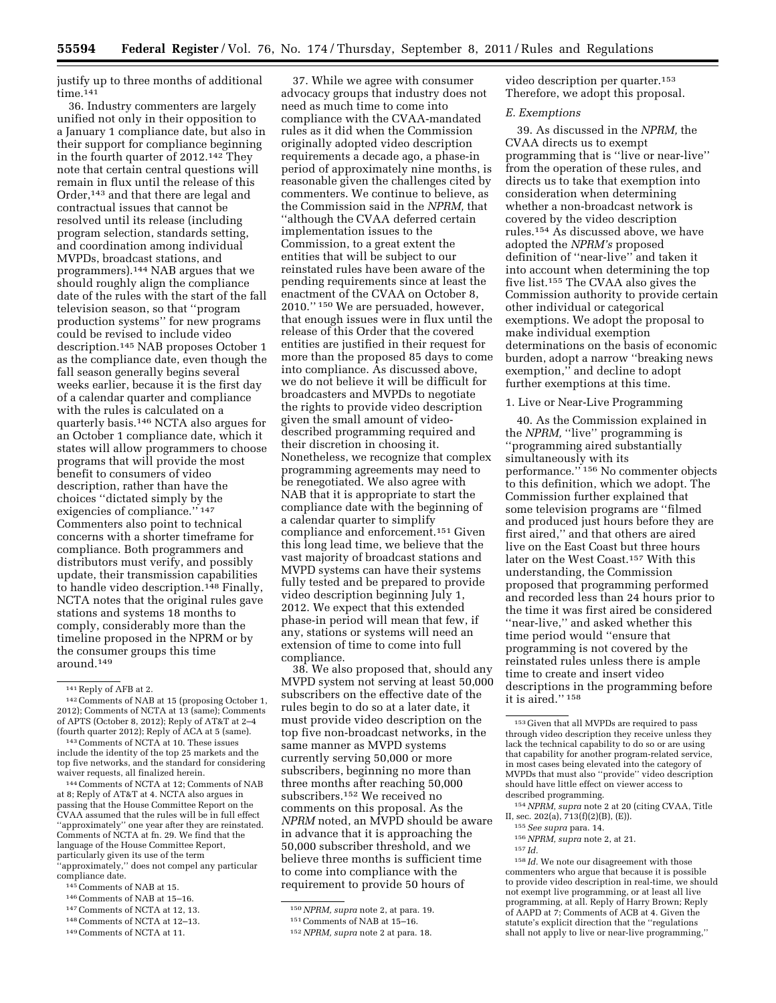justify up to three months of additional time.<sup>141</sup>

36. Industry commenters are largely unified not only in their opposition to a January 1 compliance date, but also in their support for compliance beginning in the fourth quarter of 2012.142 They note that certain central questions will remain in flux until the release of this Order,143 and that there are legal and contractual issues that cannot be resolved until its release (including program selection, standards setting, and coordination among individual MVPDs, broadcast stations, and programmers).144 NAB argues that we should roughly align the compliance date of the rules with the start of the fall television season, so that ''program production systems'' for new programs could be revised to include video description.145 NAB proposes October 1 as the compliance date, even though the fall season generally begins several weeks earlier, because it is the first day of a calendar quarter and compliance with the rules is calculated on a quarterly basis.146 NCTA also argues for an October 1 compliance date, which it states will allow programmers to choose programs that will provide the most benefit to consumers of video description, rather than have the choices ''dictated simply by the exigencies of compliance.'' 147 Commenters also point to technical concerns with a shorter timeframe for compliance. Both programmers and distributors must verify, and possibly update, their transmission capabilities to handle video description.148 Finally, NCTA notes that the original rules gave stations and systems 18 months to comply, considerably more than the timeline proposed in the NPRM or by the consumer groups this time around.149

143Comments of NCTA at 10. These issues include the identity of the top 25 markets and the top five networks, and the standard for considering waiver requests, all finalized herein.

144Comments of NCTA at 12; Comments of NAB at 8; Reply of AT&T at 4. NCTA also argues in passing that the House Committee Report on the CVAA assumed that the rules will be in full effect ''approximately'' one year after they are reinstated. Comments of NCTA at fn. 29. We find that the language of the House Committee Report, particularly given its use of the term 'approximately," does not compel any particular compliance date.

- 146Comments of NAB at 15–16.
- 147Comments of NCTA at 12, 13.
- 148Comments of NCTA at 12–13.
- 149Comments of NCTA at 11.

37. While we agree with consumer advocacy groups that industry does not need as much time to come into compliance with the CVAA-mandated rules as it did when the Commission originally adopted video description requirements a decade ago, a phase-in period of approximately nine months, is reasonable given the challenges cited by commenters. We continue to believe, as the Commission said in the *NPRM,* that ''although the CVAA deferred certain implementation issues to the Commission, to a great extent the entities that will be subject to our reinstated rules have been aware of the pending requirements since at least the enactment of the CVAA on October 8, 2010.'' 150 We are persuaded, however, that enough issues were in flux until the release of this Order that the covered entities are justified in their request for more than the proposed 85 days to come into compliance. As discussed above, we do not believe it will be difficult for broadcasters and MVPDs to negotiate the rights to provide video description given the small amount of videodescribed programming required and their discretion in choosing it. Nonetheless, we recognize that complex programming agreements may need to be renegotiated. We also agree with NAB that it is appropriate to start the compliance date with the beginning of a calendar quarter to simplify compliance and enforcement.151 Given this long lead time, we believe that the vast majority of broadcast stations and MVPD systems can have their systems fully tested and be prepared to provide video description beginning July 1, 2012. We expect that this extended phase-in period will mean that few, if any, stations or systems will need an extension of time to come into full compliance.

38. We also proposed that, should any MVPD system not serving at least 50,000 subscribers on the effective date of the rules begin to do so at a later date, it must provide video description on the top five non-broadcast networks, in the same manner as MVPD systems currently serving 50,000 or more subscribers, beginning no more than three months after reaching 50,000 subscribers.152 We received no comments on this proposal. As the *NPRM* noted, an MVPD should be aware in advance that it is approaching the 50,000 subscriber threshold, and we believe three months is sufficient time to come into compliance with the requirement to provide 50 hours of

video description per quarter.153 Therefore, we adopt this proposal.

### *E. Exemptions*

39. As discussed in the *NPRM,* the CVAA directs us to exempt programming that is ''live or near-live'' from the operation of these rules, and directs us to take that exemption into consideration when determining whether a non-broadcast network is covered by the video description rules.154 As discussed above, we have adopted the *NPRM's* proposed definition of ''near-live'' and taken it into account when determining the top five list.155 The CVAA also gives the Commission authority to provide certain other individual or categorical exemptions. We adopt the proposal to make individual exemption determinations on the basis of economic burden, adopt a narrow ''breaking news exemption,'' and decline to adopt further exemptions at this time.

#### 1. Live or Near-Live Programming

40. As the Commission explained in the *NPRM*, "live" programming is ''programming aired substantially simultaneously with its performance.'' 156 No commenter objects to this definition, which we adopt. The Commission further explained that some television programs are ''filmed and produced just hours before they are first aired,'' and that others are aired live on the East Coast but three hours later on the West Coast.157 With this understanding, the Commission proposed that programming performed and recorded less than 24 hours prior to the time it was first aired be considered ''near-live,'' and asked whether this time period would ''ensure that programming is not covered by the reinstated rules unless there is ample time to create and insert video descriptions in the programming before it is aired.'' 158

154*NPRM, supra* note 2 at 20 (citing CVAA, Title II, sec. 202(a),  $713(f)(2)(B)$ , (E)).

- 155*See supra* para. 14.
- 156*NPRM, supra* note 2, at 21.
- 157 *Id.*

<sup>158</sup> *Id.* We note our disagreement with those commenters who argue that because it is possible to provide video description in real-time, we should not exempt live programming, or at least all live programming, at all. Reply of Harry Brown; Reply of AAPD at 7; Comments of ACB at 4. Given the statute's explicit direction that the ''regulations shall not apply to live or near-live programming,"

<sup>141</sup>Reply of AFB at 2.

<sup>142</sup>Comments of NAB at 15 (proposing October 1, 2012); Comments of NCTA at 13 (same); Comments of APTS (October 8, 2012); Reply of AT&T at 2–4 (fourth quarter 2012); Reply of ACA at 5 (same).

<sup>145</sup>Comments of NAB at 15.

<sup>150</sup>*NPRM, supra* note 2, at para. 19.

<sup>151</sup>Comments of NAB at 15–16.

<sup>152</sup>*NPRM, supra* note 2 at para. 18.

<sup>153</sup> Given that all MVPDs are required to pass through video description they receive unless they lack the technical capability to do so or are using that capability for another program-related service, in most cases being elevated into the category of MVPDs that must also ''provide'' video description should have little effect on viewer access to described programming.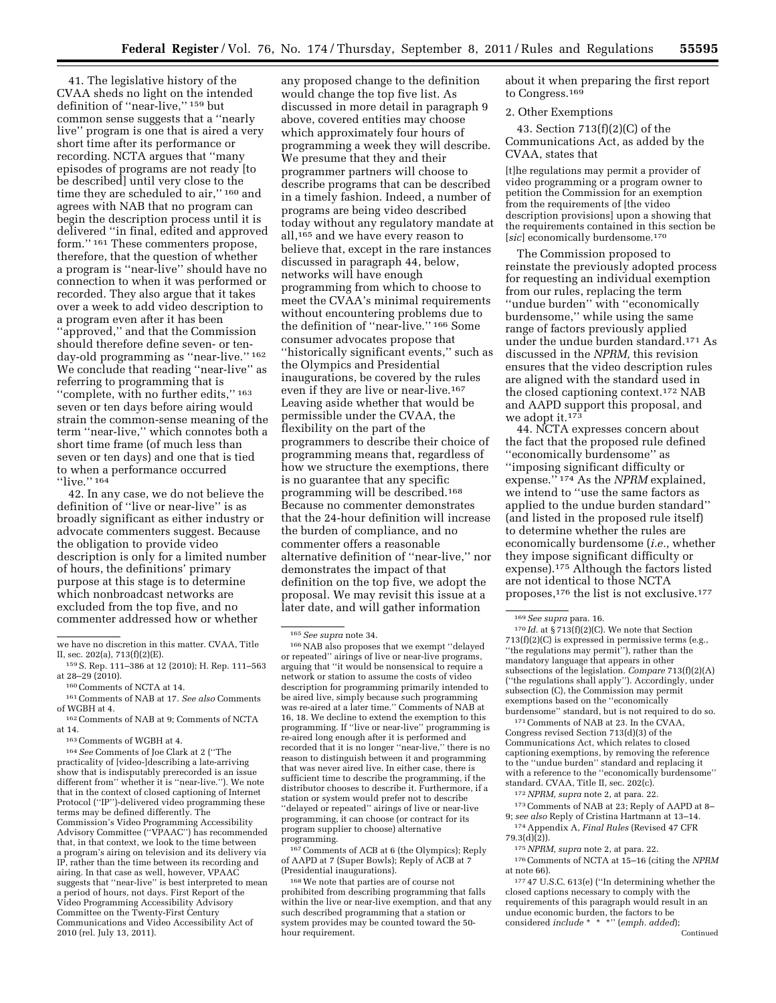41. The legislative history of the CVAA sheds no light on the intended definition of ''near-live,'' 159 but common sense suggests that a ''nearly live'' program is one that is aired a very short time after its performance or recording. NCTA argues that ''many episodes of programs are not ready [to be described] until very close to the time they are scheduled to air,"<sup>160</sup> and agrees with NAB that no program can begin the description process until it is delivered ''in final, edited and approved form.'' 161 These commenters propose, therefore, that the question of whether a program is ''near-live'' should have no connection to when it was performed or recorded. They also argue that it takes over a week to add video description to a program even after it has been ''approved,'' and that the Commission should therefore define seven- or tenday-old programming as ''near-live.'' 162 We conclude that reading ''near-live'' as referring to programming that is ''complete, with no further edits,'' 163 seven or ten days before airing would strain the common-sense meaning of the term ''near-live,'' which connotes both a short time frame (of much less than seven or ten days) and one that is tied to when a performance occurred "live." 164

42. In any case, we do not believe the definition of ''live or near-live'' is as broadly significant as either industry or advocate commenters suggest. Because the obligation to provide video description is only for a limited number of hours, the definitions' primary purpose at this stage is to determine which nonbroadcast networks are excluded from the top five, and no commenter addressed how or whether

162Comments of NAB at 9; Comments of NCTA at 14.

164*See* Comments of Joe Clark at 2 (''The practicality of [video-]describing a late-arriving show that is indisputably prerecorded is an issue different from'' whether it is ''near-live.''). We note that in the context of closed captioning of Internet Protocol (''IP'')-delivered video programming these terms may be defined differently. The Commission's Video Programming Accessibility Advisory Committee (''VPAAC'') has recommended that, in that context, we look to the time between a program's airing on television and its delivery via IP, rather than the time between its recording and airing. In that case as well, however, VPAAC suggests that ''near-live'' is best interpreted to mean a period of hours, not days. First Report of the Video Programming Accessibility Advisory Committee on the Twenty-First Century Communications and Video Accessibility Act of 2010 (rel. July 13, 2011).

any proposed change to the definition would change the top five list. As discussed in more detail in paragraph 9 above, covered entities may choose which approximately four hours of programming a week they will describe. We presume that they and their programmer partners will choose to describe programs that can be described in a timely fashion. Indeed, a number of programs are being video described today without any regulatory mandate at all,165 and we have every reason to believe that, except in the rare instances discussed in paragraph 44, below, networks will have enough programming from which to choose to meet the CVAA's minimal requirements without encountering problems due to the definition of ''near-live.'' 166 Some consumer advocates propose that ''historically significant events,'' such as the Olympics and Presidential inaugurations, be covered by the rules even if they are live or near-live.167 Leaving aside whether that would be permissible under the CVAA, the flexibility on the part of the programmers to describe their choice of programming means that, regardless of how we structure the exemptions, there is no guarantee that any specific programming will be described.168 Because no commenter demonstrates that the 24-hour definition will increase the burden of compliance, and no commenter offers a reasonable alternative definition of ''near-live,'' nor demonstrates the impact of that definition on the top five, we adopt the proposal. We may revisit this issue at a later date, and will gather information

167Comments of ACB at 6 (the Olympics); Reply of AAPD at 7 (Super Bowls); Reply of ACB at 7 (Presidential inaugurations).

168We note that parties are of course not prohibited from describing programming that falls within the live or near-live exemption, and that any such described programming that a station or system provides may be counted toward the 50 hour requirement.

about it when preparing the first report to Congress.<sup>169</sup>

#### 2. Other Exemptions

43. Section 713(f)(2)(C) of the Communications Act, as added by the CVAA, states that

[t]he regulations may permit a provider of video programming or a program owner to petition the Commission for an exemption from the requirements of [the video description provisions] upon a showing that the requirements contained in this section be [*sic*] economically burdensome.170

The Commission proposed to reinstate the previously adopted process for requesting an individual exemption from our rules, replacing the term ''undue burden'' with ''economically burdensome,'' while using the same range of factors previously applied under the undue burden standard.171 As discussed in the *NPRM,* this revision ensures that the video description rules are aligned with the standard used in the closed captioning context.172 NAB and AAPD support this proposal, and we adopt it.173

44. NCTA expresses concern about the fact that the proposed rule defined ''economically burdensome'' as ''imposing significant difficulty or expense.'' 174 As the *NPRM* explained, we intend to ''use the same factors as applied to the undue burden standard'' (and listed in the proposed rule itself) to determine whether the rules are economically burdensome (*i.e.,* whether they impose significant difficulty or expense).175 Although the factors listed are not identical to those NCTA proposes,176 the list is not exclusive.177

171Comments of NAB at 23. In the CVAA, Congress revised Section 713(d)(3) of the Communications Act, which relates to closed captioning exemptions, by removing the reference to the ''undue burden'' standard and replacing it with a reference to the ''economically burdensome'' standard. CVAA, Title II, sec. 202(c).

- 173 Comments of NAB at 23; Reply of AAPD at 8-9; *see also* Reply of Cristina Hartmann at 13–14.
- 174Appendix A, *Final Rules* (Revised 47 CFR  $79.3(d)(2)$ ).

176Comments of NCTA at 15–16 (citing the *NPRM*  at note 66).

we have no discretion in this matter. CVAA, Title II, sec. 202(a), 713(f)(2)(E).

<sup>159</sup>S. Rep. 111–386 at 12 (2010); H. Rep. 111–563

at  $28 - 29$  ( $2010$ ).

<sup>160</sup>Comments of NCTA at 14.

<sup>161</sup>Comments of NAB at 17. *See also* Comments of WGBH at 4.

<sup>163</sup>Comments of WGBH at 4.

<sup>165</sup>*See supra* note 34.

<sup>166</sup>NAB also proposes that we exempt ''delayed or repeated'' airings of live or near-live programs, arguing that ''it would be nonsensical to require a network or station to assume the costs of video description for programming primarily intended to be aired live, simply because such programming was re-aired at a later time.'' Comments of NAB at 16, 18. We decline to extend the exemption to this programming. If ''live or near-live'' programming is re-aired long enough after it is performed and recorded that it is no longer ''near-live,'' there is no reason to distinguish between it and programming that was never aired live. In either case, there is sufficient time to describe the programming, if the distributor chooses to describe it. Furthermore, if a station or system would prefer not to describe ''delayed or repeated'' airings of live or near-live programming, it can choose (or contract for its program supplier to choose) alternative programming.

<sup>169</sup>*See supra* para. 16.

 $^{170}Id.$  at § 713(f)(2)(C). We note that Section 713(f)(2)(C) is expressed in permissive terms (e.g., ''the regulations may permit''), rather than the mandatory language that appears in other subsections of the legislation. *Compare* 713(f)(2)(A) (''the regulations shall apply''). Accordingly, under subsection (C), the Commission may permit exemptions based on the ''economically burdensome'' standard, but is not required to do so.

<sup>172</sup>*NPRM, supra* note 2, at para. 22.

<sup>175</sup>*NPRM, supra* note 2, at para. 22.

<sup>177</sup> 47 U.S.C. 613(e) (''In determining whether the closed captions necessary to comply with the requirements of this paragraph would result in an undue economic burden, the factors to be considered *include* \* \* \*'' (*emph. added*); Continued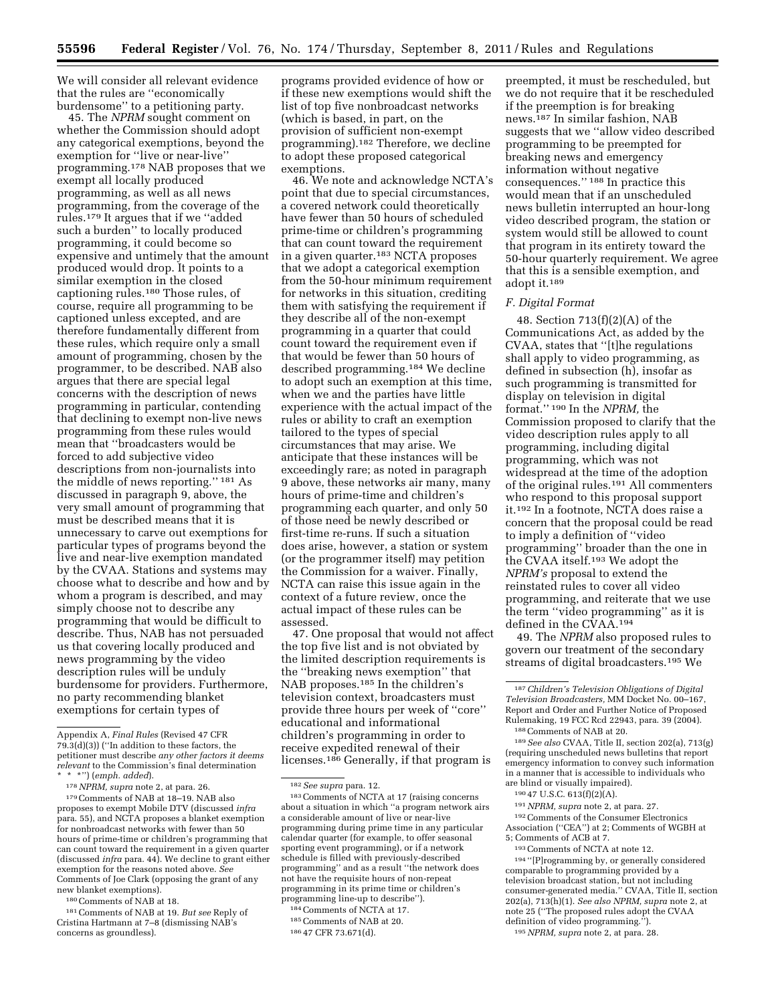We will consider all relevant evidence that the rules are ''economically burdensome'' to a petitioning party.

45. The *NPRM* sought comment on whether the Commission should adopt any categorical exemptions, beyond the exemption for ''live or near-live'' programming.178 NAB proposes that we exempt all locally produced programming, as well as all news programming, from the coverage of the rules.179 It argues that if we ''added such a burden'' to locally produced programming, it could become so expensive and untimely that the amount produced would drop. It points to a similar exemption in the closed captioning rules.180 Those rules, of course, require all programming to be captioned unless excepted, and are therefore fundamentally different from these rules, which require only a small amount of programming, chosen by the programmer, to be described. NAB also argues that there are special legal concerns with the description of news programming in particular, contending that declining to exempt non-live news programming from these rules would mean that ''broadcasters would be forced to add subjective video descriptions from non-journalists into the middle of news reporting.'' 181 As discussed in paragraph 9, above, the very small amount of programming that must be described means that it is unnecessary to carve out exemptions for particular types of programs beyond the live and near-live exemption mandated by the CVAA. Stations and systems may choose what to describe and how and by whom a program is described, and may simply choose not to describe any programming that would be difficult to describe. Thus, NAB has not persuaded us that covering locally produced and news programming by the video description rules will be unduly burdensome for providers. Furthermore, no party recommending blanket exemptions for certain types of

180Comments of NAB at 18.

programs provided evidence of how or if these new exemptions would shift the list of top five nonbroadcast networks (which is based, in part, on the provision of sufficient non-exempt programming).182 Therefore, we decline to adopt these proposed categorical exemptions.

46. We note and acknowledge NCTA's point that due to special circumstances, a covered network could theoretically have fewer than 50 hours of scheduled prime-time or children's programming that can count toward the requirement in a given quarter.183 NCTA proposes that we adopt a categorical exemption from the 50-hour minimum requirement for networks in this situation, crediting them with satisfying the requirement if they describe all of the non-exempt programming in a quarter that could count toward the requirement even if that would be fewer than 50 hours of described programming.184 We decline to adopt such an exemption at this time, when we and the parties have little experience with the actual impact of the rules or ability to craft an exemption tailored to the types of special circumstances that may arise. We anticipate that these instances will be exceedingly rare; as noted in paragraph 9 above, these networks air many, many hours of prime-time and children's programming each quarter, and only 50 of those need be newly described or first-time re-runs. If such a situation does arise, however, a station or system (or the programmer itself) may petition the Commission for a waiver. Finally, NCTA can raise this issue again in the context of a future review, once the actual impact of these rules can be assessed.

47. One proposal that would not affect the top five list and is not obviated by the limited description requirements is the ''breaking news exemption'' that NAB proposes.185 In the children's television context, broadcasters must provide three hours per week of ''core'' educational and informational children's programming in order to receive expedited renewal of their licenses.186 Generally, if that program is

185Comments of NAB at 20.

186 47 CFR 73.671(d).

preempted, it must be rescheduled, but we do not require that it be rescheduled if the preemption is for breaking news.187 In similar fashion, NAB suggests that we ''allow video described programming to be preempted for breaking news and emergency information without negative consequences.'' 188 In practice this would mean that if an unscheduled news bulletin interrupted an hour-long video described program, the station or system would still be allowed to count that program in its entirety toward the 50-hour quarterly requirement. We agree that this is a sensible exemption, and adopt it.189

#### *F. Digital Format*

48. Section 713(f)(2)(A) of the Communications Act, as added by the CVAA, states that ''[t]he regulations shall apply to video programming, as defined in subsection (h), insofar as such programming is transmitted for display on television in digital format.'' 190 In the *NPRM,* the Commission proposed to clarify that the video description rules apply to all programming, including digital programming, which was not widespread at the time of the adoption of the original rules.191 All commenters who respond to this proposal support it.192 In a footnote, NCTA does raise a concern that the proposal could be read to imply a definition of ''video programming'' broader than the one in the CVAA itself.193 We adopt the *NPRM's* proposal to extend the reinstated rules to cover all video programming, and reiterate that we use the term ''video programming'' as it is defined in the CVAA.194

49. The *NPRM* also proposed rules to govern our treatment of the secondary streams of digital broadcasters.195 We

189*See also* CVAA, Title II, section 202(a), 713(g) (requiring unscheduled news bulletins that report emergency information to convey such information in a manner that is accessible to individuals who are blind or visually impaired).

192Comments of the Consumer Electronics Association (''CEA'') at 2; Comments of WGBH at 5; Comments of ACB at 7.

194 ''[P]rogramming by, or generally considered comparable to programming provided by a television broadcast station, but not including consumer-generated media.'' CVAA, Title II, section 202(a), 713(h)(1). *See also NPRM, supra* note 2, at note 25 (''The proposed rules adopt the CVAA definition of video programming.

195*NPRM, supra* note 2, at para. 28.

Appendix A, *Final Rules* (Revised 47 CFR 79.3(d)(3)) (''In addition to these factors, the petitioner must describe *any other factors it deems relevant* to the Commission's final determination \* \* \*'') (*emph. added*).

<sup>178</sup>*NPRM, supra* note 2, at para. 26.

<sup>179</sup>Comments of NAB at 18–19. NAB also proposes to exempt Mobile DTV (discussed *infra*  para. 55), and NCTA proposes a blanket exemption for nonbroadcast networks with fewer than 50 hours of prime-time or children's programming that can count toward the requirement in a given quarter (discussed *infra* para. 44). We decline to grant either exemption for the reasons noted above. *See*  Comments of Joe Clark (opposing the grant of any new blanket exemptions).

<sup>181</sup>Comments of NAB at 19. *But see* Reply of Cristina Hartmann at 7–8 (dismissing NAB's concerns as groundless).

<sup>182</sup>*See supra* para. 12.

<sup>183</sup>Comments of NCTA at 17 (raising concerns about a situation in which ''a program network airs a considerable amount of live or near-live programming during prime time in any particular calendar quarter (for example, to offer seasonal sporting event programming), or if a network schedule is filled with previously-described programming'' and as a result ''the network does not have the requisite hours of non-repeat programming in its prime time or children's programming line-up to describe'').

<sup>184</sup>Comments of NCTA at 17.

<sup>187</sup>*Children's Television Obligations of Digital Television Broadcasters,* MM Docket No. 00–167, Report and Order and Further Notice of Proposed Rulemaking, 19 FCC Rcd 22943, para. 39 (2004).

<sup>188</sup>Comments of NAB at 20.

<sup>190</sup> 47 U.S.C. 613(f)(2)(A).

<sup>191</sup>*NPRM, supra* note 2, at para. 27.

<sup>193</sup>Comments of NCTA at note 12.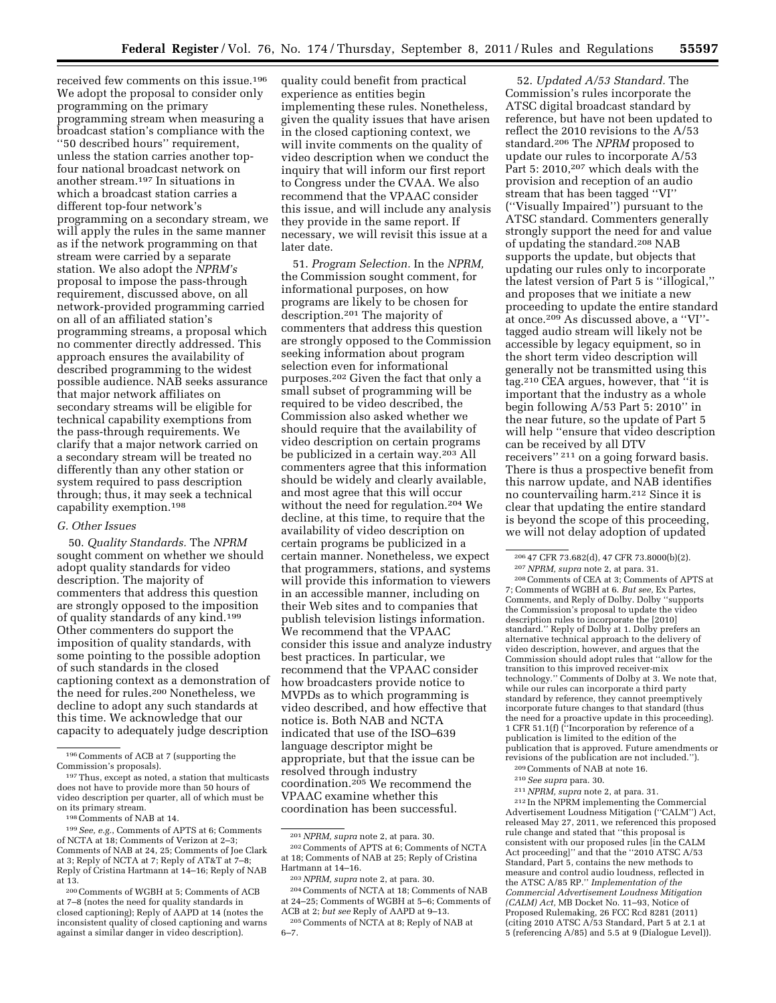received few comments on this issue.196 We adopt the proposal to consider only programming on the primary programming stream when measuring a broadcast station's compliance with the ''50 described hours'' requirement, unless the station carries another topfour national broadcast network on another stream.197 In situations in which a broadcast station carries a different top-four network's programming on a secondary stream, we will apply the rules in the same manner as if the network programming on that stream were carried by a separate station. We also adopt the *NPRM's*  proposal to impose the pass-through requirement, discussed above, on all network-provided programming carried on all of an affiliated station's programming streams, a proposal which no commenter directly addressed. This approach ensures the availability of described programming to the widest possible audience. NAB seeks assurance that major network affiliates on secondary streams will be eligible for technical capability exemptions from the pass-through requirements. We clarify that a major network carried on a secondary stream will be treated no differently than any other station or system required to pass description through; thus, it may seek a technical capability exemption.198

#### *G. Other Issues*

50. *Quality Standards.* The *NPRM*  sought comment on whether we should adopt quality standards for video description. The majority of commenters that address this question are strongly opposed to the imposition of quality standards of any kind.199 Other commenters do support the imposition of quality standards, with some pointing to the possible adoption of such standards in the closed captioning context as a demonstration of the need for rules.200 Nonetheless, we decline to adopt any such standards at this time. We acknowledge that our capacity to adequately judge description

199*See, e.g.*, Comments of APTS at 6; Comments of NCTA at 18; Comments of Verizon at 2–3; Comments of NAB at 24, 25; Comments of Joe Clark at 3; Reply of NCTA at 7; Reply of AT&T at 7–8; Reply of Cristina Hartmann at 14–16; Reply of NAB at 13.

quality could benefit from practical experience as entities begin implementing these rules. Nonetheless, given the quality issues that have arisen in the closed captioning context, we will invite comments on the quality of video description when we conduct the inquiry that will inform our first report to Congress under the CVAA. We also recommend that the VPAAC consider this issue, and will include any analysis they provide in the same report. If necessary, we will revisit this issue at a later date.

51. *Program Selection.* In the *NPRM,*  the Commission sought comment, for informational purposes, on how programs are likely to be chosen for description.201 The majority of commenters that address this question are strongly opposed to the Commission seeking information about program selection even for informational purposes.202 Given the fact that only a small subset of programming will be required to be video described, the Commission also asked whether we should require that the availability of video description on certain programs be publicized in a certain way.203 All commenters agree that this information should be widely and clearly available, and most agree that this will occur without the need for regulation.204 We decline, at this time, to require that the availability of video description on certain programs be publicized in a certain manner. Nonetheless, we expect that programmers, stations, and systems will provide this information to viewers in an accessible manner, including on their Web sites and to companies that publish television listings information. We recommend that the VPAAC consider this issue and analyze industry best practices. In particular, we recommend that the VPAAC consider how broadcasters provide notice to MVPDs as to which programming is video described, and how effective that notice is. Both NAB and NCTA indicated that use of the ISO–639 language descriptor might be appropriate, but that the issue can be resolved through industry coordination.205 We recommend the VPAAC examine whether this coordination has been successful.

204Comments of NCTA at 18; Comments of NAB at 24–25; Comments of WGBH at 5–6; Comments of ACB at 2; *but see* Reply of AAPD at 9–13.

52. *Updated A/53 Standard.* The Commission's rules incorporate the ATSC digital broadcast standard by reference, but have not been updated to reflect the 2010 revisions to the A/53 standard.206 The *NPRM* proposed to update our rules to incorporate A/53 Part 5: 2010,<sup>207</sup> which deals with the provision and reception of an audio stream that has been tagged ''VI'' (''Visually Impaired'') pursuant to the ATSC standard. Commenters generally strongly support the need for and value of updating the standard.208 NAB supports the update, but objects that updating our rules only to incorporate the latest version of Part 5 is ''illogical,'' and proposes that we initiate a new proceeding to update the entire standard at once.209 As discussed above, a ''VI'' tagged audio stream will likely not be accessible by legacy equipment, so in the short term video description will generally not be transmitted using this tag.210 CEA argues, however, that ''it is important that the industry as a whole begin following A/53 Part 5: 2010'' in the near future, so the update of Part 5 will help ''ensure that video description can be received by all DTV receivers'' 211 on a going forward basis. There is thus a prospective benefit from this narrow update, and NAB identifies no countervailing harm.212 Since it is clear that updating the entire standard is beyond the scope of this proceeding, we will not delay adoption of updated

7; Comments of WGBH at 6. *But see,* Ex Partes, Comments, and Reply of Dolby. Dolby ''supports the Commission's proposal to update the video description rules to incorporate the [2010] standard.'' Reply of Dolby at 1. Dolby prefers an alternative technical approach to the delivery of video description, however, and argues that the Commission should adopt rules that ''allow for the transition to this improved receiver-mix technology.'' Comments of Dolby at 3. We note that, while our rules can incorporate a third party standard by reference, they cannot preemptively incorporate future changes to that standard (thus the need for a proactive update in this proceeding). 1 CFR 51.1(f) (''Incorporation by reference of a publication is limited to the edition of the publication that is approved. Future amendments or revisions of the publication are not included.'').

209Comments of NAB at note 16. 210*See supra* para. 30.

211*NPRM, supra* note 2, at para. 31. 212 In the NPRM implementing the Commercial Advertisement Loudness Mitigation (''CALM'') Act, released May 27, 2011, we referenced this proposed rule change and stated that ''this proposal is consistent with our proposed rules [in the CALM Act proceeding]'' and that the ''2010 ATSC A/53 Standard, Part 5, contains the new methods to measure and control audio loudness, reflected in the ATSC A/85 RP.'' *Implementation of the Commercial Advertisement Loudness Mitigation (CALM) Act,* MB Docket No. 11–93, Notice of Proposed Rulemaking, 26 FCC Rcd 8281 (2011) (citing 2010 ATSC A/53 Standard, Part 5 at 2.1 at 5 (referencing A/85) and 5.5 at 9 (Dialogue Level)).

<sup>196</sup>Comments of ACB at 7 (supporting the Commission's proposals).

<sup>197</sup>Thus, except as noted, a station that multicasts does not have to provide more than 50 hours of video description per quarter, all of which must be on its primary stream.

<sup>198</sup>Comments of NAB at 14.

<sup>200</sup>Comments of WGBH at 5; Comments of ACB at 7–8 (notes the need for quality standards in closed captioning); Reply of AAPD at 14 (notes the inconsistent quality of closed captioning and warns against a similar danger in video description).

<sup>201</sup>*NPRM, supra* note 2, at para. 30.

<sup>202</sup>Comments of APTS at 6; Comments of NCTA at 18; Comments of NAB at 25; Reply of Cristina Hartmann at 14–16.

<sup>203</sup>*NPRM, supra* note 2, at para. 30.

<sup>205</sup>Comments of NCTA at 8; Reply of NAB at 6–7.

<sup>&</sup>lt;sup>206</sup> 47 CFR 73.682(d), 47 CFR 73.8000(b)(2).<br><sup>207</sup> *NPRM, supra* note 2, at para. 31.<br><sup>208</sup> Comments of CEA at 3; Comments of APTS at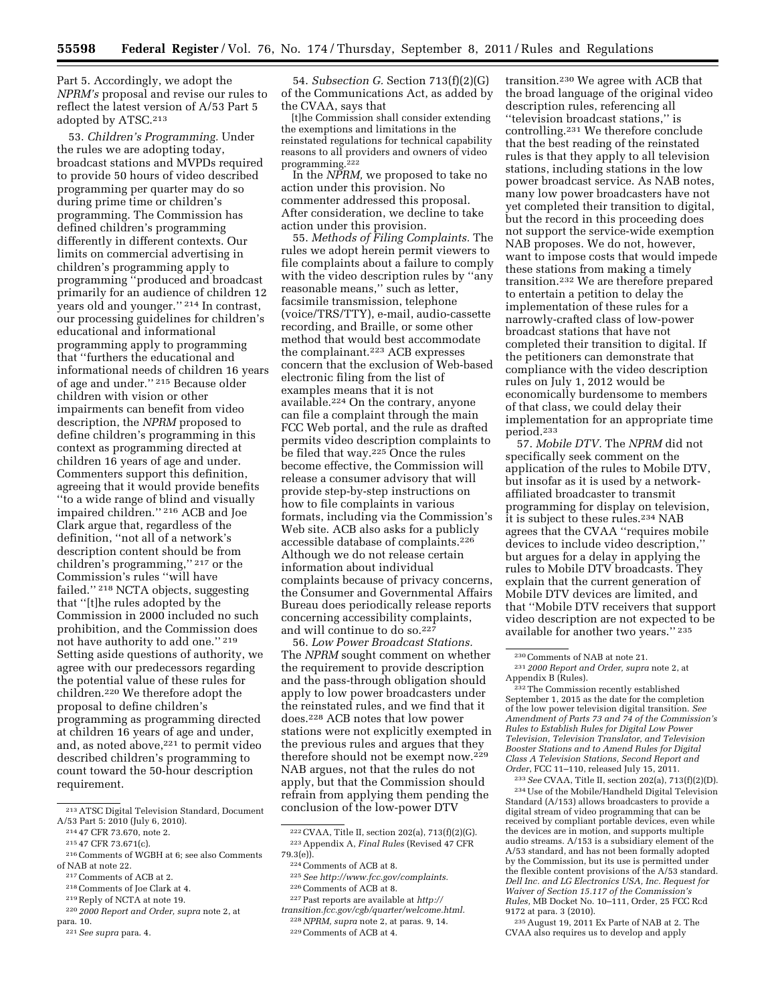Part 5. Accordingly, we adopt the *NPRM's* proposal and revise our rules to reflect the latest version of A/53 Part 5 adopted by ATSC.213

53. *Children's Programming.* Under the rules we are adopting today, broadcast stations and MVPDs required to provide 50 hours of video described programming per quarter may do so during prime time or children's programming. The Commission has defined children's programming differently in different contexts. Our limits on commercial advertising in children's programming apply to programming ''produced and broadcast primarily for an audience of children 12 years old and younger."<sup>214</sup> In contrast, our processing guidelines for children's educational and informational programming apply to programming that ''furthers the educational and informational needs of children 16 years of age and under.'' 215 Because older children with vision or other impairments can benefit from video description, the *NPRM* proposed to define children's programming in this context as programming directed at children 16 years of age and under. Commenters support this definition, agreeing that it would provide benefits ''to a wide range of blind and visually impaired children.'' 216 ACB and Joe Clark argue that, regardless of the definition, ''not all of a network's description content should be from children's programming,'' 217 or the Commission's rules ''will have failed.'' 218 NCTA objects, suggesting that ''[t]he rules adopted by the Commission in 2000 included no such prohibition, and the Commission does not have authority to add one.'' 219 Setting aside questions of authority, we agree with our predecessors regarding the potential value of these rules for children.220 We therefore adopt the proposal to define children's programming as programming directed at children 16 years of age and under, and, as noted above,<sup>221</sup> to permit video described children's programming to count toward the 50-hour description requirement.

- 217Comments of ACB at 2.
- 218Comments of Joe Clark at 4.
- 219Reply of NCTA at note 19.
- 220 *2000 Report and Order, supra* note 2, at
- para. 10.

54. *Subsection G.* Section 713(f)(2)(G) of the Communications Act, as added by the CVAA, says that

[t]he Commission shall consider extending the exemptions and limitations in the reinstated regulations for technical capability reasons to all providers and owners of video programming.222

In the *NPRM,* we proposed to take no action under this provision. No commenter addressed this proposal. After consideration, we decline to take action under this provision.

55. *Methods of Filing Complaints.* The rules we adopt herein permit viewers to file complaints about a failure to comply with the video description rules by ''any reasonable means,'' such as letter, facsimile transmission, telephone (voice/TRS/TTY), e-mail, audio-cassette recording, and Braille, or some other method that would best accommodate the complainant.223 ACB expresses concern that the exclusion of Web-based electronic filing from the list of examples means that it is not available.224 On the contrary, anyone can file a complaint through the main FCC Web portal, and the rule as drafted permits video description complaints to be filed that way.<sup>225</sup> Once the rules become effective, the Commission will release a consumer advisory that will provide step-by-step instructions on how to file complaints in various formats, including via the Commission's Web site. ACB also asks for a publicly accessible database of complaints.226 Although we do not release certain information about individual complaints because of privacy concerns, the Consumer and Governmental Affairs Bureau does periodically release reports concerning accessibility complaints, and will continue to do so.227

56. *Low Power Broadcast Stations.*  The *NPRM* sought comment on whether the requirement to provide description and the pass-through obligation should apply to low power broadcasters under the reinstated rules, and we find that it does.228 ACB notes that low power stations were not explicitly exempted in the previous rules and argues that they therefore should not be exempt now.229 NAB argues, not that the rules do not apply, but that the Commission should refrain from applying them pending the conclusion of the low-power DTV

- 226Comments of ACB at 8.
- 227Past reports are available at *[http://](http://transition.fcc.gov/cgb/quarter/welcome.html)  [transition.fcc.gov/cgb/quarter/welcome.html.](http://transition.fcc.gov/cgb/quarter/welcome.html)*
- 228*NPRM, supra* note 2, at paras. 9, 14. 229Comments of ACB at 4.

transition.230 We agree with ACB that the broad language of the original video description rules, referencing all ''television broadcast stations,'' is controlling.231 We therefore conclude that the best reading of the reinstated rules is that they apply to all television stations, including stations in the low power broadcast service. As NAB notes, many low power broadcasters have not yet completed their transition to digital, but the record in this proceeding does not support the service-wide exemption NAB proposes. We do not, however, want to impose costs that would impede these stations from making a timely transition.232 We are therefore prepared to entertain a petition to delay the implementation of these rules for a narrowly-crafted class of low-power broadcast stations that have not completed their transition to digital. If the petitioners can demonstrate that compliance with the video description rules on July 1, 2012 would be economically burdensome to members of that class, we could delay their implementation for an appropriate time period.233

57. *Mobile DTV.* The *NPRM* did not specifically seek comment on the application of the rules to Mobile DTV, but insofar as it is used by a networkaffiliated broadcaster to transmit programming for display on television, it is subject to these rules.234 NAB agrees that the CVAA ''requires mobile devices to include video description,'' but argues for a delay in applying the rules to Mobile DTV broadcasts. They explain that the current generation of Mobile DTV devices are limited, and that ''Mobile DTV receivers that support video description are not expected to be available for another two years.'' 235

<sup>232</sup>The Commission recently established September 1, 2015 as the date for the completion of the low power television digital transition. *See Amendment of Parts 73 and 74 of the Commission's Rules to Establish Rules for Digital Low Power Television, Television Translator, and Television Booster Stations and to Amend Rules for Digital Class A Television Stations, Second Report and Order*, FCC 11–110, released July 15, 2011.

233*See* CVAA, Title II, section 202(a), 713(f)(2)(D). 234Use of the Mobile/Handheld Digital Television Standard (A/153) allows broadcasters to provide a digital stream of video programming that can be received by compliant portable devices, even while the devices are in motion, and supports multiple audio streams. A/153 is a subsidiary element of the A/53 standard, and has not been formally adopted by the Commission, but its use is permitted under the flexible content provisions of the A/53 standard. *Dell Inc. and LG Electronics USA, Inc. Request for Waiver of Section 15.117 of the Commission's Rules,* MB Docket No. 10–111, Order, 25 FCC Rcd 9172 at para. 3 (2010).

235August 19, 2011 Ex Parte of NAB at 2. The CVAA also requires us to develop and apply

<sup>213</sup>ATSC Digital Television Standard, Document A/53 Part 5: 2010 (July 6, 2010).

<sup>214</sup> 47 CFR 73.670, note 2.

<sup>215</sup> 47 CFR 73.671(c).

<sup>216</sup>Comments of WGBH at 6; see also Comments of NAB at note 22.

<sup>221</sup>*See supra* para. 4.

<sup>222</sup>CVAA, Title II, section 202(a), 713(f)(2)(G). 223Appendix A, *Final Rules* (Revised 47 CFR 79.3(e)).

<sup>224</sup>Comments of ACB at 8.

<sup>225</sup>*See [http://www.fcc.gov/complaints.](http://www.fcc.gov/complaints)* 

<sup>230</sup>Comments of NAB at note 21. 231 *2000 Report and Order, supra* note 2, at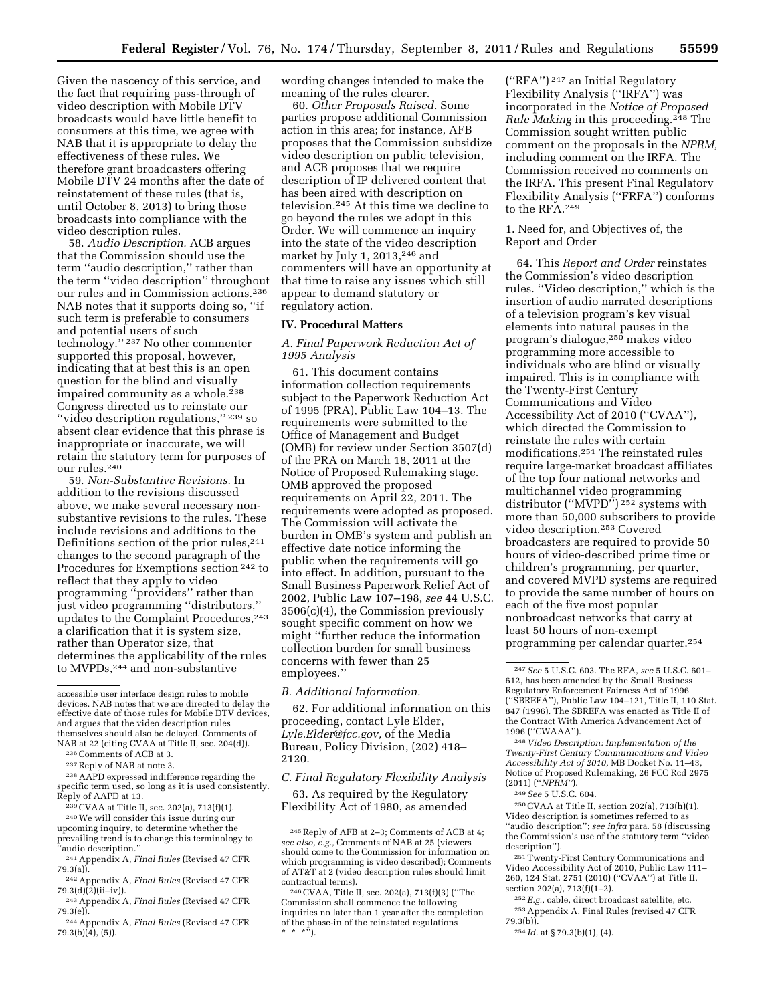Given the nascency of this service, and the fact that requiring pass-through of video description with Mobile DTV broadcasts would have little benefit to consumers at this time, we agree with NAB that it is appropriate to delay the effectiveness of these rules. We therefore grant broadcasters offering Mobile DTV 24 months after the date of reinstatement of these rules (that is, until October 8, 2013) to bring those broadcasts into compliance with the video description rules.

58. *Audio Description.* ACB argues that the Commission should use the term ''audio description,'' rather than the term ''video description'' throughout our rules and in Commission actions.236 NAB notes that it supports doing so, ''if such term is preferable to consumers and potential users of such technology.'' 237 No other commenter supported this proposal, however, indicating that at best this is an open question for the blind and visually impaired community as a whole.<sup>238</sup> Congress directed us to reinstate our ''video description regulations,'' 239 so absent clear evidence that this phrase is inappropriate or inaccurate, we will retain the statutory term for purposes of our rules.240

59. *Non-Substantive Revisions.* In addition to the revisions discussed above, we make several necessary nonsubstantive revisions to the rules. These include revisions and additions to the Definitions section of the prior rules, 241 changes to the second paragraph of the Procedures for Exemptions section 242 to reflect that they apply to video programming ''providers'' rather than just video programming ''distributors,'' updates to the Complaint Procedures,<sup>243</sup> a clarification that it is system size, rather than Operator size, that determines the applicability of the rules to MVPDs,244 and non-substantive

<sup>236</sup> Comments of ACB at 3.<br><sup>237</sup> Reply of NAB at note 3.<br><sup>238</sup> AAPD expressed indifference regarding the specific term used, so long as it is used consistently.

<sup>239</sup> CVAA at Title II, sec. 202(a), 713(f)(1). <sup>240</sup> We will consider this issue during our

upcoming inquiry, to determine whether the prevailing trend is to change this terminology to "audio description."

79.3(a)). 242Appendix A, *Final Rules* (Revised 47 CFR 79.3(d)(2)(ii–iv)). 243Appendix A, *Final Rules* (Revised 47 CFR

244Appendix A, *Final Rules* (Revised 47 CFR  $79.3(b)(4), (5)$ ).

wording changes intended to make the meaning of the rules clearer.

60. *Other Proposals Raised.* Some parties propose additional Commission action in this area; for instance, AFB proposes that the Commission subsidize video description on public television, and ACB proposes that we require description of IP delivered content that has been aired with description on television.245 At this time we decline to go beyond the rules we adopt in this Order. We will commence an inquiry into the state of the video description market by July 1, 2013,246 and commenters will have an opportunity at that time to raise any issues which still appear to demand statutory or regulatory action.

### **IV. Procedural Matters**

*A. Final Paperwork Reduction Act of 1995 Analysis* 

61. This document contains information collection requirements subject to the Paperwork Reduction Act of 1995 (PRA), Public Law 104–13. The requirements were submitted to the Office of Management and Budget (OMB) for review under Section 3507(d) of the PRA on March 18, 2011 at the Notice of Proposed Rulemaking stage. OMB approved the proposed requirements on April 22, 2011. The requirements were adopted as proposed. The Commission will activate the burden in OMB's system and publish an effective date notice informing the public when the requirements will go into effect. In addition, pursuant to the Small Business Paperwork Relief Act of 2002, Public Law 107–198, *see* 44 U.S.C. 3506(c)(4), the Commission previously sought specific comment on how we might ''further reduce the information collection burden for small business concerns with fewer than 25 employees.''

*B. Additional Information.* 

62. For additional information on this proceeding, contact Lyle Elder, *[Lyle.Elder@fcc.gov,](mailto:Lyle.Elder@fcc.gov)* of the Media Bureau, Policy Division, (202) 418– 2120.

# *C. Final Regulatory Flexibility Analysis*

63. As required by the Regulatory Flexibility Act of 1980, as amended

(''RFA'') 247 an Initial Regulatory Flexibility Analysis (''IRFA'') was incorporated in the *Notice of Proposed Rule Making* in this proceeding.248 The Commission sought written public comment on the proposals in the *NPRM,*  including comment on the IRFA. The Commission received no comments on the IRFA. This present Final Regulatory Flexibility Analysis (''FRFA'') conforms to the RFA.249

### 1. Need for, and Objectives of, the Report and Order

64. This *Report and Order* reinstates the Commission's video description rules. ''Video description,'' which is the insertion of audio narrated descriptions of a television program's key visual elements into natural pauses in the program's dialogue,250 makes video programming more accessible to individuals who are blind or visually impaired. This is in compliance with the Twenty-First Century Communications and Video Accessibility Act of 2010 (''CVAA''), which directed the Commission to reinstate the rules with certain modifications.251 The reinstated rules require large-market broadcast affiliates of the top four national networks and multichannel video programming distributor (''MVPD'') 252 systems with more than 50,000 subscribers to provide video description.253 Covered broadcasters are required to provide 50 hours of video-described prime time or children's programming, per quarter, and covered MVPD systems are required to provide the same number of hours on each of the five most popular nonbroadcast networks that carry at least 50 hours of non-exempt programming per calendar quarter.254

250CVAA at Title II, section 202(a), 713(h)(1). Video description is sometimes referred to as ''audio description''; *see infra* para. 58 (discussing the Commission's use of the statutory term ''video description'').

251Twenty-First Century Communications and Video Accessibility Act of 2010, Public Law 111– 260, 124 Stat. 2751 (2010) (''CVAA'') at Title II, section 202(a), 713(f)(1–2).

252*E.g.,* cable, direct broadcast satellite, etc. 253Appendix A, Final Rules (revised 47 CFR 79.3(b)).

254 *Id.* at § 79.3(b)(1), (4).

accessible user interface design rules to mobile devices. NAB notes that we are directed to delay the effective date of those rules for Mobile DTV devices, and argues that the video description rules themselves should also be delayed. Comments of NAB at 22 (citing CVAA at Title II, sec. 204(d)).

<sup>&</sup>lt;sup>241</sup> Appendix A, *Final Rules* (Revised 47 CFR

<sup>79.3(</sup>e)).

<sup>245</sup>Reply of AFB at 2–3; Comments of ACB at 4; *see also, e.g.,* Comments of NAB at 25 (viewers should come to the Commission for information on which programming is video described); Comments of AT&T at 2 (video description rules should limit contractual terms).

<sup>246</sup>CVAA, Title II, sec. 202(a), 713(f)(3) (''The Commission shall commence the following inquiries no later than 1 year after the completion of the phase-in of the reinstated regulations \* \* \*'').

<sup>247</sup>*See* 5 U.S.C. 603. The RFA, *see* 5 U.S.C. 601– 612, has been amended by the Small Business Regulatory Enforcement Fairness Act of 1996 (''SBREFA''), Public Law 104–121, Title II, 110 Stat. 847 (1996). The SBREFA was enacted as Title II of the Contract With America Advancement Act of 1996 (''CWAAA'').

<sup>248</sup> *Video Description: Implementation of the Twenty-First Century Communications and Video Accessibility Act of 2010,* MB Docket No. 11–43, Notice of Proposed Rulemaking, 26 FCC Rcd 2975 (2011) (''*NPRM''*).

<sup>249</sup>*See* 5 U.S.C. 604.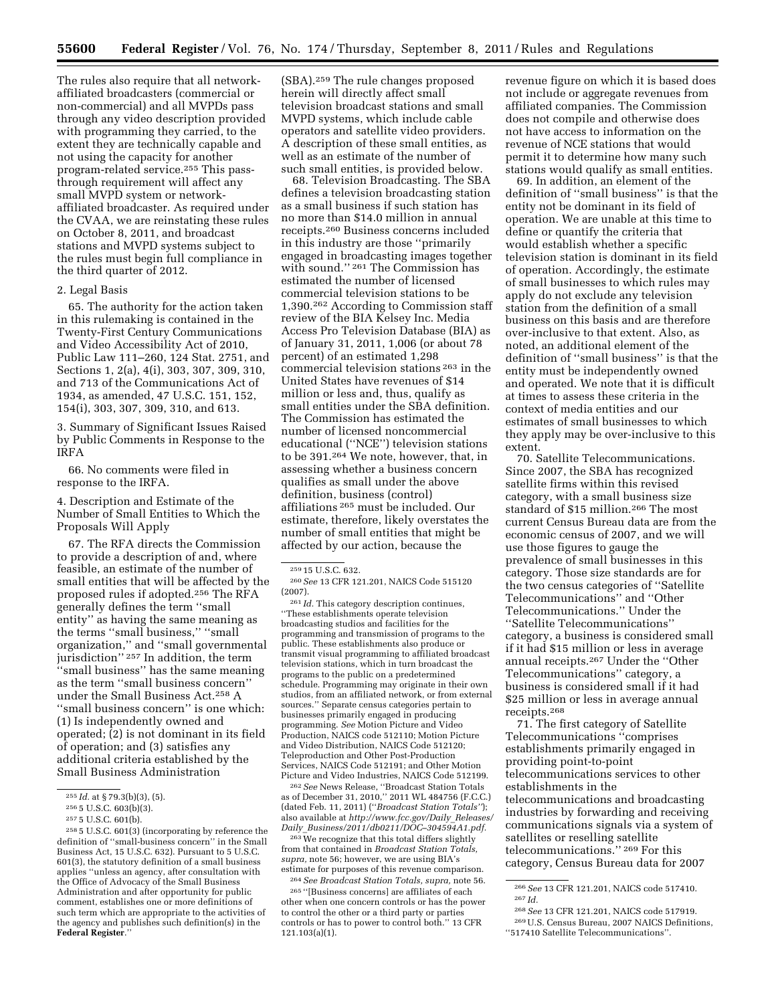The rules also require that all networkaffiliated broadcasters (commercial or non-commercial) and all MVPDs pass through any video description provided with programming they carried, to the extent they are technically capable and not using the capacity for another program-related service.255 This passthrough requirement will affect any small MVPD system or networkaffiliated broadcaster. As required under the CVAA, we are reinstating these rules on October 8, 2011, and broadcast stations and MVPD systems subject to the rules must begin full compliance in the third quarter of 2012.

### 2. Legal Basis

65. The authority for the action taken in this rulemaking is contained in the Twenty-First Century Communications and Video Accessibility Act of 2010, Public Law 111–260, 124 Stat. 2751, and Sections 1, 2(a), 4(i), 303, 307, 309, 310, and 713 of the Communications Act of 1934, as amended, 47 U.S.C. 151, 152, 154(i), 303, 307, 309, 310, and 613.

3. Summary of Significant Issues Raised by Public Comments in Response to the IRFA

66. No comments were filed in response to the IRFA.

4. Description and Estimate of the Number of Small Entities to Which the Proposals Will Apply

67. The RFA directs the Commission to provide a description of and, where feasible, an estimate of the number of small entities that will be affected by the proposed rules if adopted.256 The RFA generally defines the term ''small entity'' as having the same meaning as the terms "small business," "small organization,'' and ''small governmental jurisdiction" <sup>257</sup> In addition, the term ''small business'' has the same meaning as the term ''small business concern'' under the Small Business Act.258 A ''small business concern'' is one which: (1) Is independently owned and operated; (2) is not dominant in its field of operation; and (3) satisfies any additional criteria established by the Small Business Administration

(SBA).259 The rule changes proposed herein will directly affect small television broadcast stations and small MVPD systems, which include cable operators and satellite video providers. A description of these small entities, as well as an estimate of the number of such small entities, is provided below.

68. Television Broadcasting. The SBA defines a television broadcasting station as a small business if such station has no more than \$14.0 million in annual receipts.260 Business concerns included in this industry are those ''primarily engaged in broadcasting images together with sound.'' 261 The Commission has estimated the number of licensed commercial television stations to be 1,390.262 According to Commission staff review of the BIA Kelsey Inc. Media Access Pro Television Database (BIA) as of January 31, 2011, 1,006 (or about 78 percent) of an estimated 1,298 commercial television stations 263 in the United States have revenues of \$14 million or less and, thus, qualify as small entities under the SBA definition. The Commission has estimated the number of licensed noncommercial educational (''NCE'') television stations to be 391.264 We note, however, that, in assessing whether a business concern qualifies as small under the above definition, business (control) affiliations 265 must be included. Our estimate, therefore, likely overstates the number of small entities that might be affected by our action, because the

261 *Id.* This category description continues, ''These establishments operate television broadcasting studios and facilities for the programming and transmission of programs to the public. These establishments also produce or transmit visual programming to affiliated broadcast television stations, which in turn broadcast the programs to the public on a predetermined schedule. Programming may originate in their own studios, from an affiliated network, or from external sources.'' Separate census categories pertain to businesses primarily engaged in producing programming. *See* Motion Picture and Video Production, NAICS code 512110; Motion Picture and Video Distribution, NAICS Code 512120; Teleproduction and Other Post-Production Services, NAICS Code 512191; and Other Motion Picture and Video Industries, NAICS Code 512199.

262*See* News Release, ''Broadcast Station Totals as of December 31, 2010,'' 2011 WL 484756 (F.C.C.) (dated Feb. 11, 2011) (''*Broadcast Station Totals''*); also available at *[http://www.fcc.gov/Daily](http://www.fcc.gov/Daily_Releases/Daily_Business/2011/db0211/DOC-304594A1.pdf)*\_*Releases/ Daily*\_*[Business/2011/db0211/DOC–304594A1.pdf.](http://www.fcc.gov/Daily_Releases/Daily_Business/2011/db0211/DOC-304594A1.pdf)* 

263We recognize that this total differs slightly from that contained in *Broadcast Station Totals, supra,* note 56; however, we are using BIA's estimate for purposes of this revenue comparison.

264*See Broadcast Station Totals, supra,* note 56.

265 ''[Business concerns] are affiliates of each other when one concern controls or has the power to control the other or a third party or parties controls or has to power to control both.'' 13 CFR 121.103(a)(1).

revenue figure on which it is based does not include or aggregate revenues from affiliated companies. The Commission does not compile and otherwise does not have access to information on the revenue of NCE stations that would permit it to determine how many such stations would qualify as small entities.

69. In addition, an element of the definition of ''small business'' is that the entity not be dominant in its field of operation. We are unable at this time to define or quantify the criteria that would establish whether a specific television station is dominant in its field of operation. Accordingly, the estimate of small businesses to which rules may apply do not exclude any television station from the definition of a small business on this basis and are therefore over-inclusive to that extent. Also, as noted, an additional element of the definition of ''small business'' is that the entity must be independently owned and operated. We note that it is difficult at times to assess these criteria in the context of media entities and our estimates of small businesses to which they apply may be over-inclusive to this extent.

70. Satellite Telecommunications. Since 2007, the SBA has recognized satellite firms within this revised category, with a small business size standard of \$15 million.266 The most current Census Bureau data are from the economic census of 2007, and we will use those figures to gauge the prevalence of small businesses in this category. Those size standards are for the two census categories of ''Satellite Telecommunications'' and ''Other Telecommunications.'' Under the ''Satellite Telecommunications'' category, a business is considered small if it had \$15 million or less in average annual receipts.267 Under the ''Other Telecommunications'' category, a business is considered small if it had \$25 million or less in average annual receipts.268

71. The first category of Satellite Telecommunications ''comprises establishments primarily engaged in providing point-to-point telecommunications services to other establishments in the telecommunications and broadcasting industries by forwarding and receiving communications signals via a system of satellites or reselling satellite telecommunications.'' 269 For this category, Census Bureau data for 2007

<sup>255</sup> *Id.* at § 79.3(b)(3), (5).

<sup>256</sup> 5 U.S.C. 603(b)(3).

<sup>257</sup> 5 U.S.C. 601(b).

<sup>258</sup> 5 U.S.C. 601(3) (incorporating by reference the definition of ''small-business concern'' in the Small Business Act, 15 U.S.C. 632). Pursuant to 5 U.S.C. 601(3), the statutory definition of a small business applies ''unless an agency, after consultation with the Office of Advocacy of the Small Business Administration and after opportunity for public comment, establishes one or more definitions of such term which are appropriate to the activities of the agency and publishes such definition(s) in the **Federal Register**.''

<sup>259</sup> 15 U.S.C. 632.

<sup>260</sup>*See* 13 CFR 121.201, NAICS Code 515120 (2007).

<sup>266</sup>*See* 13 CFR 121.201, NAICS code 517410. 267 *Id.* 

<sup>268</sup>*See* 13 CFR 121.201, NAICS code 517919. 269U.S. Census Bureau, 2007 NAICS Definitions, ''517410 Satellite Telecommunications''.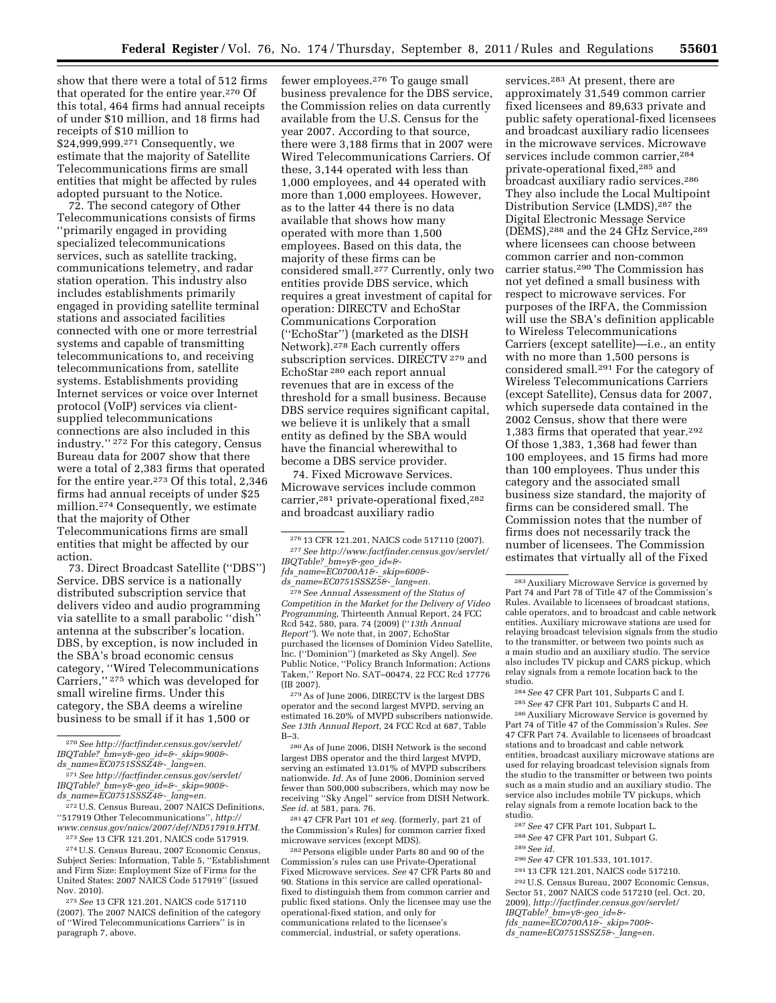show that there were a total of 512 firms that operated for the entire year.270 Of this total, 464 firms had annual receipts of under \$10 million, and 18 firms had receipts of \$10 million to \$24,999,999.271 Consequently, we estimate that the majority of Satellite Telecommunications firms are small entities that might be affected by rules adopted pursuant to the Notice.

72. The second category of Other Telecommunications consists of firms ''primarily engaged in providing specialized telecommunications services, such as satellite tracking, communications telemetry, and radar station operation. This industry also includes establishments primarily engaged in providing satellite terminal stations and associated facilities connected with one or more terrestrial systems and capable of transmitting telecommunications to, and receiving telecommunications from, satellite systems. Establishments providing Internet services or voice over Internet protocol (VoIP) services via clientsupplied telecommunications connections are also included in this industry.'' 272 For this category, Census Bureau data for 2007 show that there were a total of 2,383 firms that operated for the entire year.273 Of this total, 2,346 firms had annual receipts of under \$25 million.274 Consequently, we estimate that the majority of Other Telecommunications firms are small entities that might be affected by our action.

73. Direct Broadcast Satellite (''DBS'') Service. DBS service is a nationally distributed subscription service that delivers video and audio programming via satellite to a small parabolic ''dish'' antenna at the subscriber's location. DBS, by exception, is now included in the SBA's broad economic census category, ''Wired Telecommunications Carriers,'' 275 which was developed for small wireline firms. Under this category, the SBA deems a wireline business to be small if it has 1,500 or

271*See [http://factfinder.census.gov/servlet/](http://factfinder.census.gov/servlet/IBQTable?_bm=y&-geo_id=&-_skip=900&-ds_name=EC0751SSSZ4&-_lang=en)  IBQTable?*\_*bm=y&-geo*\_*id=&-*\_*[skip=900&](http://factfinder.census.gov/servlet/IBQTable?_bm=y&-geo_id=&-_skip=900&-ds_name=EC0751SSSZ4&-_lang=en) ds*\_*[name=EC0751SSSZ4&-](http://factfinder.census.gov/servlet/IBQTable?_bm=y&-geo_id=&-_skip=900&-ds_name=EC0751SSSZ4&-_lang=en)*\_*lang=en.* 

274U.S. Census Bureau, 2007 Economic Census, Subject Series: Information, Table 5, ''Establishment and Firm Size: Employment Size of Firms for the United States: 2007 NAICS Code 517919'' (issued Nov. 2010).

275*See* 13 CFR 121.201, NAICS code 517110 (2007). The 2007 NAICS definition of the category of ''Wired Telecommunications Carriers'' is in paragraph 7, above.

fewer employees.276 To gauge small business prevalence for the DBS service, the Commission relies on data currently available from the U.S. Census for the year 2007. According to that source, there were 3,188 firms that in 2007 were Wired Telecommunications Carriers. Of these, 3,144 operated with less than 1,000 employees, and 44 operated with more than 1,000 employees. However, as to the latter 44 there is no data available that shows how many operated with more than 1,500 employees. Based on this data, the majority of these firms can be considered small.277 Currently, only two entities provide DBS service, which requires a great investment of capital for operation: DIRECTV and EchoStar Communications Corporation (''EchoStar'') (marketed as the DISH Network).278 Each currently offers subscription services. DIRECTV<sup>279</sup> and EchoStar 280 each report annual revenues that are in excess of the threshold for a small business. Because DBS service requires significant capital, we believe it is unlikely that a small entity as defined by the SBA would have the financial wherewithal to become a DBS service provider.

74. Fixed Microwave Services. Microwave services include common carrier,281 private-operational fixed,282 and broadcast auxiliary radio

*ds*\_*[name=EC0751SSSZ5&-](http://www.factfinder.census.gov/servlet/IBQTable?_bm=y&-geo_id=&-fds_name=EC0700A1&-_skip=600&-ds_name=EC0751SSSZ5&-_lang=en)*\_*lang=en.* 

278*See Annual Assessment of the Status of Competition in the Market for the Delivery of Video Programming,* Thirteenth Annual Report, 24 FCC Rcd 542, 580, para. 74 (2009) (''*13th Annual Report''*). We note that, in 2007, EchoStar purchased the licenses of Dominion Video Satellite, Inc. (''Dominion'') (marketed as Sky Angel). *See*  Public Notice, ''Policy Branch Information; Actions Taken,'' Report No. SAT–00474, 22 FCC Rcd 17776 (IB 2007).

281 47 CFR Part 101 *et seq.* (formerly, part 21 of the Commission's Rules) for common carrier fixed microwave services (except MDS).

282Persons eligible under Parts 80 and 90 of the Commission's rules can use Private-Operational Fixed Microwave services. *See* 47 CFR Parts 80 and 90. Stations in this service are called operationalfixed to distinguish them from common carrier and public fixed stations. Only the licensee may use the operational-fixed station, and only for communications related to the licensee's commercial, industrial, or safety operations.

services.<sup>283</sup> At present, there are approximately 31,549 common carrier fixed licensees and 89,633 private and public safety operational-fixed licensees and broadcast auxiliary radio licensees in the microwave services. Microwave services include common carrier, 284 private-operational fixed,285 and broadcast auxiliary radio services.286 They also include the Local Multipoint Distribution Service (LMDS),<sup>287</sup> the Digital Electronic Message Service (DEMS),288 and the 24 GHz Service,289 where licensees can choose between common carrier and non-common carrier status.290 The Commission has not yet defined a small business with respect to microwave services. For purposes of the IRFA, the Commission will use the SBA's definition applicable to Wireless Telecommunications Carriers (except satellite)—i.e., an entity with no more than 1,500 persons is considered small.291 For the category of Wireless Telecommunications Carriers (except Satellite), Census data for 2007, which supersede data contained in the 2002 Census, show that there were 1,383 firms that operated that year.292 Of those 1,383, 1,368 had fewer than 100 employees, and 15 firms had more than 100 employees. Thus under this category and the associated small business size standard, the majority of firms can be considered small. The Commission notes that the number of firms does not necessarily track the number of licensees. The Commission estimates that virtually all of the Fixed

Part 74 of Title 47 of the Commission's Rules. *See*  47 CFR Part 74. Available to licensees of broadcast stations and to broadcast and cable network entities, broadcast auxiliary microwave stations are used for relaying broadcast television signals from the studio to the transmitter or between two points such as a main studio and an auxiliary studio. The service also includes mobile TV pickups, which relay signals from a remote location back to the studio.

- 287*See* 47 CFR Part 101, Subpart L.
- 288*See* 47 CFR Part 101, Subpart G.
- 289*See id.*
- 290*See* 47 CFR 101.533, 101.1017.
- 291 13 CFR 121.201, NAICS code 517210.

292U.S. Census Bureau, 2007 Economic Census, Sector 51, 2007 NAICS code 517210 (rel. Oct. 20, 2009), *[http://factfinder.census.gov/servlet/](http://factfinder.census.gov/servlet/IBQTable?_bm=y&-geo_id=&-fds_name=EC0700A1&-_skip=700&-ds_name=EC0751SSSZ5&-_lang=en)  IBQTable?*\_*[bm=y&-geo](http://factfinder.census.gov/servlet/IBQTable?_bm=y&-geo_id=&-fds_name=EC0700A1&-_skip=700&-ds_name=EC0751SSSZ5&-_lang=en)*\_*id=&-* 

*fds*\_*[name=EC0700A1&-](http://factfinder.census.gov/servlet/IBQTable?_bm=y&-geo_id=&-fds_name=EC0700A1&-_skip=700&-ds_name=EC0751SSSZ5&-_lang=en)*\_*skip=700&-* 

*ds*\_*[name=EC0751SSSZ5&-](http://factfinder.census.gov/servlet/IBQTable?_bm=y&-geo_id=&-fds_name=EC0700A1&-_skip=700&-ds_name=EC0751SSSZ5&-_lang=en)*\_*lang=en.* 

<sup>270</sup>*See [http://factfinder.census.gov/servlet/](http://factfinder.census.gov/servlet/IBQTable?_bm=y&-geo_id=&-_skip=900&-ds_name=EC0751SSSZ4&-_lang=en)  IBQTable?*\_*bm=y&-geo*\_*id=&-*\_*[skip=900&](http://factfinder.census.gov/servlet/IBQTable?_bm=y&-geo_id=&-_skip=900&-ds_name=EC0751SSSZ4&-_lang=en) ds*\_*[name=EC0751SSSZ4&-](http://factfinder.census.gov/servlet/IBQTable?_bm=y&-geo_id=&-_skip=900&-ds_name=EC0751SSSZ4&-_lang=en)*\_*lang=en.* 

<sup>272</sup>U.S. Census Bureau, 2007 NAICS Definitions, ''517919 Other Telecommunications'', *[http://](http://www.census.gov/naics/2007/def/ND517919.HTM) [www.census.gov/naics/2007/def/ND517919.HTM.](http://www.census.gov/naics/2007/def/ND517919.HTM)* 

<sup>273</sup>*See* 13 CFR 121.201, NAICS code 517919.

<sup>276</sup> 13 CFR 121.201, NAICS code 517110 (2007). 277*See [http://www.factfinder.census.gov/servlet/](http://www.factfinder.census.gov/servlet/IBQTable?_bm=y&-geo_id=&-fds_name=EC0700A1&-_skip=600&-ds_name=EC0751SSSZ5&-_lang=en) IBQTable?*\_*[bm=y&-geo](http://www.factfinder.census.gov/servlet/IBQTable?_bm=y&-geo_id=&-fds_name=EC0700A1&-_skip=600&-ds_name=EC0751SSSZ5&-_lang=en)*\_*id=& fds*\_*[name=EC0700A1&-](http://www.factfinder.census.gov/servlet/IBQTable?_bm=y&-geo_id=&-fds_name=EC0700A1&-_skip=600&-ds_name=EC0751SSSZ5&-_lang=en)*\_*skip=600&-* 

<sup>279</sup>As of June 2006, DIRECTV is the largest DBS operator and the second largest MVPD, serving an estimated 16.20% of MVPD subscribers nationwide. *See 13th Annual Report,* 24 FCC Rcd at 687, Table B–3.

<sup>280</sup>As of June 2006, DISH Network is the second largest DBS operator and the third largest MVPD, serving an estimated 13.01% of MVPD subscribers nationwide. *Id.* As of June 2006, Dominion served fewer than 500,000 subscribers, which may now be receiving ''Sky Angel'' service from DISH Network. *See id.* at 581, para. 76.

<sup>283</sup>Auxiliary Microwave Service is governed by Part 74 and Part 78 of Title 47 of the Commission's Rules. Available to licensees of broadcast stations, cable operators, and to broadcast and cable network entities. Auxiliary microwave stations are used for relaying broadcast television signals from the studio to the transmitter, or between two points such as a main studio and an auxiliary studio. The service also includes TV pickup and CARS pickup, which relay signals from a remote location back to the studio.<br><sup>284</sup> See 47 CFR Part 101, Subparts C and I.

<sup>&</sup>lt;sup>285</sup> See 47 CFR Part 101, Subparts C and H.<br><sup>286</sup> Auxiliary Microwave Service is governed by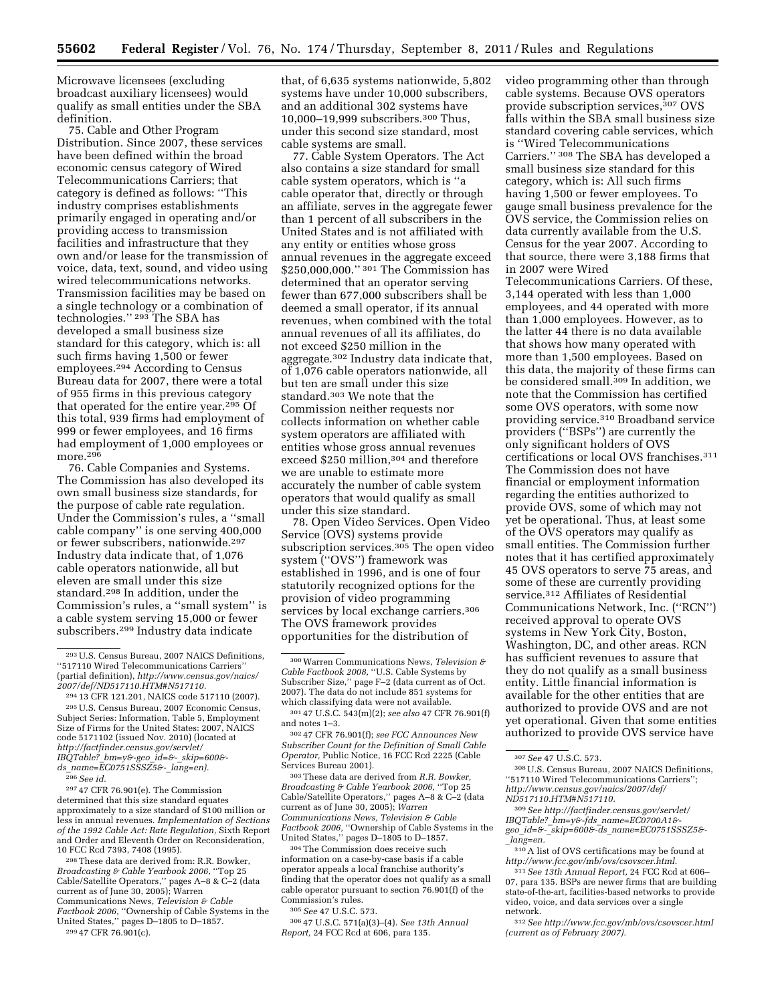Microwave licensees (excluding broadcast auxiliary licensees) would qualify as small entities under the SBA definition.

75. Cable and Other Program Distribution. Since 2007, these services have been defined within the broad economic census category of Wired Telecommunications Carriers; that category is defined as follows: ''This industry comprises establishments primarily engaged in operating and/or providing access to transmission facilities and infrastructure that they own and/or lease for the transmission of voice, data, text, sound, and video using wired telecommunications networks. Transmission facilities may be based on a single technology or a combination of technologies."<sup>293</sup> The SBA has developed a small business size standard for this category, which is: all such firms having 1,500 or fewer employees.294 According to Census Bureau data for 2007, there were a total of 955 firms in this previous category that operated for the entire year.295 Of this total, 939 firms had employment of 999 or fewer employees, and 16 firms had employment of 1,000 employees or more.296

76. Cable Companies and Systems. The Commission has also developed its own small business size standards, for the purpose of cable rate regulation. Under the Commission's rules, a ''small cable company'' is one serving 400,000 or fewer subscribers, nationwide.297 Industry data indicate that, of 1,076 cable operators nationwide, all but eleven are small under this size standard.298 In addition, under the Commission's rules, a ''small system'' is a cable system serving 15,000 or fewer subscribers.299 Industry data indicate

297 47 CFR 76.901(e). The Commission determined that this size standard equates approximately to a size standard of \$100 million or less in annual revenues. *Implementation of Sections of the 1992 Cable Act: Rate Regulation,* Sixth Report and Order and Eleventh Order on Reconsideration, 10 FCC Rcd 7393, 7408 (1995).

298These data are derived from: R.R. Bowker, *Broadcasting & Cable Yearbook 2006,* ''Top 25 Cable/Satellite Operators,'' pages A–8 & C–2 (data current as of June 30, 2005); Warren Communications News, *Television & Cable Factbook 2006,* ''Ownership of Cable Systems in the United States,'' pages D–1805 to D–1857. 299 47 CFR 76.901(c).

that, of 6,635 systems nationwide, 5,802 systems have under 10,000 subscribers, and an additional 302 systems have 10,000–19,999 subscribers.300 Thus, under this second size standard, most cable systems are small.

77. Cable System Operators. The Act also contains a size standard for small cable system operators, which is ''a cable operator that, directly or through an affiliate, serves in the aggregate fewer than 1 percent of all subscribers in the United States and is not affiliated with any entity or entities whose gross annual revenues in the aggregate exceed \$250,000,000." <sup>301</sup> The Commission has determined that an operator serving fewer than 677,000 subscribers shall be deemed a small operator, if its annual revenues, when combined with the total annual revenues of all its affiliates, do not exceed \$250 million in the aggregate.302 Industry data indicate that, of 1,076 cable operators nationwide, all but ten are small under this size standard.303 We note that the Commission neither requests nor collects information on whether cable system operators are affiliated with entities whose gross annual revenues exceed \$250 million,<sup>304</sup> and therefore we are unable to estimate more accurately the number of cable system operators that would qualify as small under this size standard.

78. Open Video Services. Open Video Service (OVS) systems provide subscription services.305 The open video system (''OVS'') framework was established in 1996, and is one of four statutorily recognized options for the provision of video programming services by local exchange carriers.<sup>306</sup> The OVS framework provides opportunities for the distribution of

303These data are derived from *R.R. Bowker, Broadcasting & Cable Yearbook 2006,* ''Top 25 Cable/Satellite Operators,'' pages A–8 & C–2 (data current as of June 30, 2005); *Warren Communications News, Television & Cable Factbook 2006,* ''Ownership of Cable Systems in the United States,'' pages D–1805 to D–1857.

304The Commission does receive such information on a case-by-case basis if a cable operator appeals a local franchise authority's finding that the operator does not qualify as a small cable operator pursuant to section 76.901(f) of the Commission's rules.

305*See* 47 U.S.C. 573.

306 47 U.S.C. 571(a)(3)–(4). *See 13th Annual Report,* 24 FCC Rcd at 606, para 135.

video programming other than through cable systems. Because OVS operators provide subscription services,307 OVS falls within the SBA small business size standard covering cable services, which is ''Wired Telecommunications Carriers.'' 308 The SBA has developed a small business size standard for this category, which is: All such firms having 1,500 or fewer employees. To gauge small business prevalence for the OVS service, the Commission relies on data currently available from the U.S. Census for the year 2007. According to that source, there were 3,188 firms that in 2007 were Wired

Telecommunications Carriers. Of these, 3,144 operated with less than 1,000 employees, and 44 operated with more than 1,000 employees. However, as to the latter 44 there is no data available that shows how many operated with more than 1,500 employees. Based on this data, the majority of these firms can be considered small.<sup>309</sup> In addition, we note that the Commission has certified some OVS operators, with some now providing service.310 Broadband service providers (''BSPs'') are currently the only significant holders of OVS certifications or local OVS franchises.311 The Commission does not have financial or employment information regarding the entities authorized to provide OVS, some of which may not yet be operational. Thus, at least some of the OVS operators may qualify as small entities. The Commission further notes that it has certified approximately 45 OVS operators to serve 75 areas, and some of these are currently providing service.312 Affiliates of Residential Communications Network, Inc. (''RCN'') received approval to operate OVS systems in New York City, Boston, Washington, DC, and other areas. RCN has sufficient revenues to assure that they do not qualify as a small business entity. Little financial information is available for the other entities that are authorized to provide OVS and are not yet operational. Given that some entities authorized to provide OVS service have

<sup>293</sup>U.S. Census Bureau, 2007 NAICS Definitions, ''517110 Wired Telecommunications Carriers'' (partial definition), *[http://www.census.gov/naics/](http://www.census.gov/naics/2007/def/ND517110.HTM#N517110)  [2007/def/ND517110.HTM#N517110.](http://www.census.gov/naics/2007/def/ND517110.HTM#N517110)* 

<sup>294</sup> 13 CFR 121.201, NAICS code 517110 (2007). 295U.S. Census Bureau, 2007 Economic Census, Subject Series: Information, Table 5, Employment Size of Firms for the United States: 2007, NAICS code 5171102 (issued Nov. 2010) (located at *[http://factfinder.census.gov/servlet/](http://factfinder.census.gov/servlet/IBQTable?_bm=y&-geo_id=&-_skip=600&-ds_name=EC0751SSSZ5&-_lang=en) IBQTable?*\_*bm=y&-geo*\_*id=&-*\_*[skip=600&](http://factfinder.census.gov/servlet/IBQTable?_bm=y&-geo_id=&-_skip=600&-ds_name=EC0751SSSZ5&-_lang=en) ds*\_*[name=EC0751SSSZ5&-](http://factfinder.census.gov/servlet/IBQTable?_bm=y&-geo_id=&-_skip=600&-ds_name=EC0751SSSZ5&-_lang=en)*\_*lang=en).* 

<sup>296</sup>*See id.* 

<sup>300</sup>Warren Communications News, *Television & Cable Factbook 2008,* ''U.S. Cable Systems by Subscriber Size,'' page F–2 (data current as of Oct. 2007). The data do not include 851 systems for which classifying data were not available.

<sup>301</sup> 47 U.S.C. 543(m)(2); *see also* 47 CFR 76.901(f) and notes 1–3.

<sup>302</sup> 47 CFR 76.901(f); *see FCC Announces New Subscriber Count for the Definition of Small Cable Operator,* Public Notice, 16 FCC Rcd 2225 (Cable Services Bureau 2001).

<sup>307</sup>*See* 47 U.S.C. 573. 308U.S. Census Bureau, 2007 NAICS Definitions, ''517110 Wired Telecommunications Carriers''; *[http://www.census.gov/naics/2007/def/](http://www.census.gov/naics/2007/def/ND517110.HTM#N517110)  [ND517110.HTM#N517110.](http://www.census.gov/naics/2007/def/ND517110.HTM#N517110)* 

<sup>309</sup>*See [http://factfinder.census.gov/servlet/](http://factfinder.census.gov/servlet/IBQTable?_bm=y&-fds_name=EC0700A1&-geo_id=&-_skip=600&-ds_name=EC0751SSSZ5&-_lang=en)  IBQTable?*\_*bm=y&-fds*\_*[name=EC0700A1&](http://factfinder.census.gov/servlet/IBQTable?_bm=y&-fds_name=EC0700A1&-geo_id=&-_skip=600&-ds_name=EC0751SSSZ5&-_lang=en)  geo*\_*id=&-*\_*skip=600&-ds*\_*[name=EC0751SSSZ5&](http://factfinder.census.gov/servlet/IBQTable?_bm=y&-fds_name=EC0700A1&-geo_id=&-_skip=600&-ds_name=EC0751SSSZ5&-_lang=en)*   $lan\sigma = en$ .

 $\frac{310}{4}$  list of OVS certifications may be found at http://www.fcc.gov/mb/ovs/csovscer.html.

*<http://www.fcc.gov/mb/ovs/csovscer.html>*. 311*See 13th Annual Report,* 24 FCC Rcd at 606– 07, para 135. BSPs are newer firms that are building state-of-the-art, facilities-based networks to provide video, voice, and data services over a single network.

<sup>312</sup>*See<http://www.fcc.gov/mb/ovs/csovscer.html> (current as of February 2007).*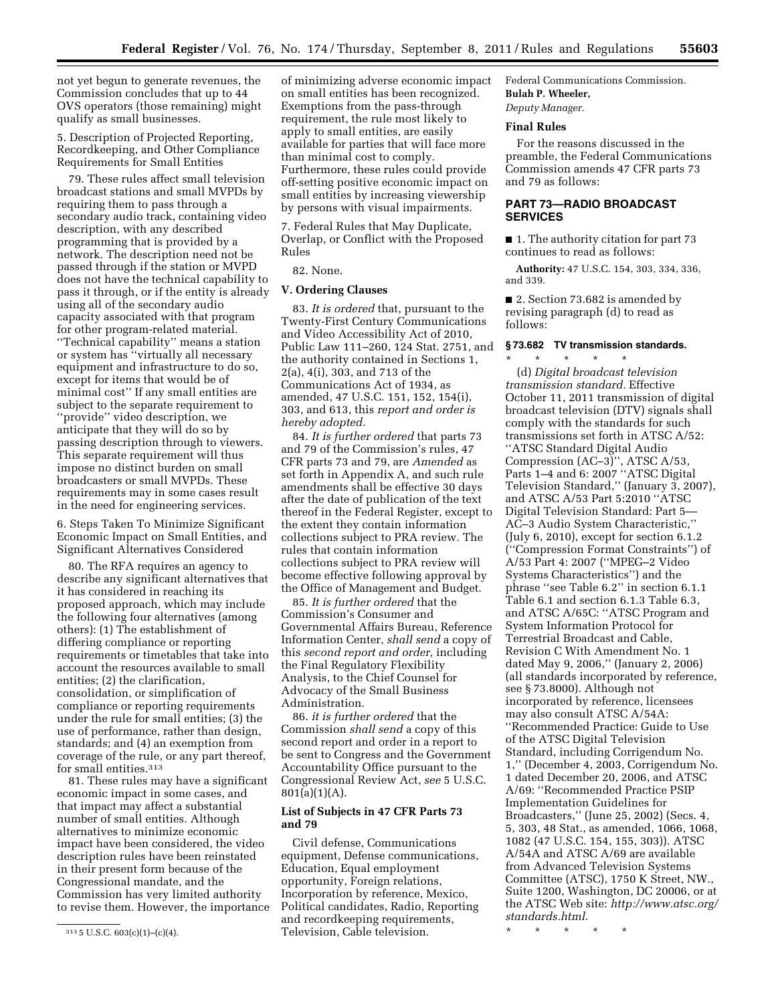not yet begun to generate revenues, the Commission concludes that up to 44 OVS operators (those remaining) might qualify as small businesses.

5. Description of Projected Reporting, Recordkeeping, and Other Compliance Requirements for Small Entities

79. These rules affect small television broadcast stations and small MVPDs by requiring them to pass through a secondary audio track, containing video description, with any described programming that is provided by a network. The description need not be passed through if the station or MVPD does not have the technical capability to pass it through, or if the entity is already using all of the secondary audio capacity associated with that program for other program-related material. ''Technical capability'' means a station or system has ''virtually all necessary equipment and infrastructure to do so, except for items that would be of minimal cost'' If any small entities are subject to the separate requirement to ''provide'' video description, we anticipate that they will do so by passing description through to viewers. This separate requirement will thus impose no distinct burden on small broadcasters or small MVPDs. These requirements may in some cases result in the need for engineering services.

6. Steps Taken To Minimize Significant Economic Impact on Small Entities, and Significant Alternatives Considered

80. The RFA requires an agency to describe any significant alternatives that it has considered in reaching its proposed approach, which may include the following four alternatives (among others): (1) The establishment of differing compliance or reporting requirements or timetables that take into account the resources available to small entities; (2) the clarification, consolidation, or simplification of compliance or reporting requirements under the rule for small entities; (3) the use of performance, rather than design, standards; and (4) an exemption from coverage of the rule, or any part thereof, for small entities.313

81. These rules may have a significant economic impact in some cases, and that impact may affect a substantial number of small entities. Although alternatives to minimize economic impact have been considered, the video description rules have been reinstated in their present form because of the Congressional mandate, and the Commission has very limited authority to revise them. However, the importance

of minimizing adverse economic impact on small entities has been recognized. Exemptions from the pass-through requirement, the rule most likely to apply to small entities, are easily available for parties that will face more than minimal cost to comply. Furthermore, these rules could provide off-setting positive economic impact on small entities by increasing viewership by persons with visual impairments.

7. Federal Rules that May Duplicate, Overlap, or Conflict with the Proposed Rules

#### 82. None.

### **V. Ordering Clauses**

83. *It is ordered* that, pursuant to the Twenty-First Century Communications and Video Accessibility Act of 2010, Public Law 111–260, 124 Stat. 2751, and the authority contained in Sections 1, 2(a), 4(i), 303, and 713 of the Communications Act of 1934, as amended, 47 U.S.C. 151, 152, 154(i), 303, and 613, this *report and order is hereby adopted.* 

84. *It is further ordered* that parts 73 and 79 of the Commission's rules, 47 CFR parts 73 and 79, are *Amended* as set forth in Appendix A, and such rule amendments shall be effective 30 days after the date of publication of the text thereof in the Federal Register, except to the extent they contain information collections subject to PRA review. The rules that contain information collections subject to PRA review will become effective following approval by the Office of Management and Budget.

85. *It is further ordered* that the Commission's Consumer and Governmental Affairs Bureau, Reference Information Center, *shall send* a copy of this *second report and order,* including the Final Regulatory Flexibility Analysis, to the Chief Counsel for Advocacy of the Small Business Administration.

86. *it is further ordered* that the Commission *shall send* a copy of this second report and order in a report to be sent to Congress and the Government Accountability Office pursuant to the Congressional Review Act, *see* 5 U.S.C. 801(a)(1)(A).

### **List of Subjects in 47 CFR Parts 73 and 79**

Civil defense, Communications equipment, Defense communications, Education, Equal employment opportunity, Foreign relations, Incorporation by reference, Mexico, Political candidates, Radio, Reporting and recordkeeping requirements, Television, Cable television.

Federal Communications Commission. **Bulah P. Wheeler,**  *Deputy Manager.* 

#### **Final Rules**

For the reasons discussed in the preamble, the Federal Communications Commission amends 47 CFR parts 73 and 79 as follows:

# **PART 73—RADIO BROADCAST SERVICES**

■ 1. The authority citation for part 73 continues to read as follows:

**Authority:** 47 U.S.C. 154, 303, 334, 336, and 339.

■ 2. Section 73.682 is amended by revising paragraph (d) to read as follows:

# **§ 73.682 TV transmission standards.**

\* \* \* \* \* (d) *Digital broadcast television transmission standard.* Effective October 11, 2011 transmission of digital broadcast television (DTV) signals shall comply with the standards for such transmissions set forth in ATSC A/52: ''ATSC Standard Digital Audio Compression (AC–3)'', ATSC A/53, Parts 1–4 and 6: 2007 ''ATSC Digital Television Standard,'' (January 3, 2007), and ATSC A/53 Part 5:2010 ''ATSC Digital Television Standard: Part 5— AC–3 Audio System Characteristic,'' (July 6, 2010), except for section 6.1.2 (''Compression Format Constraints'') of A/53 Part 4: 2007 (''MPEG–2 Video Systems Characteristics'') and the phrase ''see Table 6.2'' in section 6.1.1 Table 6.1 and section 6.1.3 Table 6.3, and ATSC A/65C: ''ATSC Program and System Information Protocol for Terrestrial Broadcast and Cable, Revision C With Amendment No. 1 dated May 9, 2006,'' (January 2, 2006) (all standards incorporated by reference, see § 73.8000). Although not incorporated by reference, licensees may also consult ATSC A/54A: ''Recommended Practice: Guide to Use of the ATSC Digital Television Standard, including Corrigendum No. 1,'' (December 4, 2003, Corrigendum No. 1 dated December 20, 2006, and ATSC A/69: ''Recommended Practice PSIP Implementation Guidelines for Broadcasters,'' (June 25, 2002) (Secs. 4, 5, 303, 48 Stat., as amended, 1066, 1068, 1082 (47 U.S.C. 154, 155, 303)). ATSC A/54A and ATSC A/69 are available from Advanced Television Systems Committee (ATSC), 1750 K Street, NW., Suite 1200, Washington, DC 20006, or at the ATSC Web site: *[http://www.atsc.org/](http://www.atsc.org/standards.html)  [standards.html](http://www.atsc.org/standards.html)*.

\* \* \* \* \*

<sup>313</sup> 5 U.S.C. 603(c)(1)–(c)(4).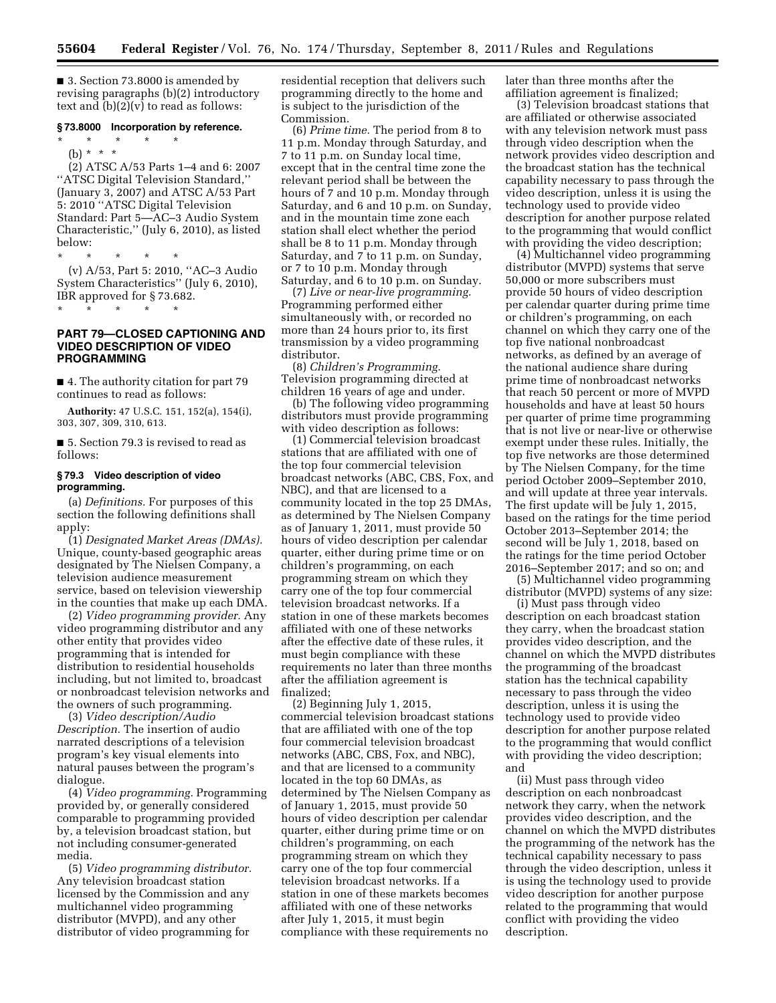■ 3. Section 73.8000 is amended by revising paragraphs (b)(2) introductory text and  $(b)(2)(v)$  to read as follows:

### **§ 73.8000 Incorporation by reference.**

\* \* \* \* \*

(b) \* \* \* (2) ATSC A/53 Parts 1–4 and 6: 2007 ''ATSC Digital Television Standard,'' (January 3, 2007) and ATSC A/53 Part 5: 2010 ''ATSC Digital Television Standard: Part 5—AC–3 Audio System Characteristic,'' (July 6, 2010), as listed below:

\* \* \* \* \* (v) A/53, Part 5: 2010, ''AC–3 Audio System Characteristics'' (July 6, 2010), IBR approved for § 73.682.

\* \* \* \* \*

# **PART 79—CLOSED CAPTIONING AND VIDEO DESCRIPTION OF VIDEO PROGRAMMING**

■ 4. The authority citation for part 79 continues to read as follows:

**Authority:** 47 U.S.C. 151, 152(a), 154(i), 303, 307, 309, 310, 613.

■ 5. Section 79.3 is revised to read as follows:

### **§ 79.3 Video description of video programming.**

(a) *Definitions.* For purposes of this section the following definitions shall apply:

(1) *Designated Market Areas (DMAs).*  Unique, county-based geographic areas designated by The Nielsen Company, a television audience measurement service, based on television viewership in the counties that make up each DMA.

(2) *Video programming provider.* Any video programming distributor and any other entity that provides video programming that is intended for distribution to residential households including, but not limited to, broadcast or nonbroadcast television networks and the owners of such programming.

(3) *Video description/Audio Description.* The insertion of audio narrated descriptions of a television program's key visual elements into natural pauses between the program's dialogue.

(4) *Video programming.* Programming provided by, or generally considered comparable to programming provided by, a television broadcast station, but not including consumer-generated media.

(5) *Video programming distributor.*  Any television broadcast station licensed by the Commission and any multichannel video programming distributor (MVPD), and any other distributor of video programming for

residential reception that delivers such programming directly to the home and is subject to the jurisdiction of the Commission.

(6) *Prime time.* The period from 8 to 11 p.m. Monday through Saturday, and 7 to 11 p.m. on Sunday local time, except that in the central time zone the relevant period shall be between the hours of 7 and 10 p.m. Monday through Saturday, and 6 and 10 p.m. on Sunday, and in the mountain time zone each station shall elect whether the period shall be 8 to 11 p.m. Monday through Saturday, and 7 to 11 p.m. on Sunday, or 7 to 10 p.m. Monday through Saturday, and 6 to 10 p.m. on Sunday.

(7) *Live or near-live programming.*  Programming performed either simultaneously with, or recorded no more than 24 hours prior to, its first transmission by a video programming distributor.

(8) *Children's Programming.*  Television programming directed at children 16 years of age and under.

(b) The following video programming distributors must provide programming with video description as follows:

(1) Commercial television broadcast stations that are affiliated with one of the top four commercial television broadcast networks (ABC, CBS, Fox, and NBC), and that are licensed to a community located in the top 25 DMAs, as determined by The Nielsen Company as of January 1, 2011, must provide 50 hours of video description per calendar quarter, either during prime time or on children's programming, on each programming stream on which they carry one of the top four commercial television broadcast networks. If a station in one of these markets becomes affiliated with one of these networks after the effective date of these rules, it must begin compliance with these requirements no later than three months after the affiliation agreement is finalized;

(2) Beginning July 1, 2015, commercial television broadcast stations that are affiliated with one of the top four commercial television broadcast networks (ABC, CBS, Fox, and NBC), and that are licensed to a community located in the top 60 DMAs, as determined by The Nielsen Company as of January 1, 2015, must provide 50 hours of video description per calendar quarter, either during prime time or on children's programming, on each programming stream on which they carry one of the top four commercial television broadcast networks. If a station in one of these markets becomes affiliated with one of these networks after July 1, 2015, it must begin compliance with these requirements no

later than three months after the affiliation agreement is finalized;

(3) Television broadcast stations that are affiliated or otherwise associated with any television network must pass through video description when the network provides video description and the broadcast station has the technical capability necessary to pass through the video description, unless it is using the technology used to provide video description for another purpose related to the programming that would conflict with providing the video description;

(4) Multichannel video programming distributor (MVPD) systems that serve 50,000 or more subscribers must provide 50 hours of video description per calendar quarter during prime time or children's programming, on each channel on which they carry one of the top five national nonbroadcast networks, as defined by an average of the national audience share during prime time of nonbroadcast networks that reach 50 percent or more of MVPD households and have at least 50 hours per quarter of prime time programming that is not live or near-live or otherwise exempt under these rules. Initially, the top five networks are those determined by The Nielsen Company, for the time period October 2009–September 2010, and will update at three year intervals. The first update will be July 1, 2015, based on the ratings for the time period October 2013–September 2014; the second will be July 1, 2018, based on the ratings for the time period October 2016–September 2017; and so on; and

(5) Multichannel video programming distributor (MVPD) systems of any size:

(i) Must pass through video description on each broadcast station they carry, when the broadcast station provides video description, and the channel on which the MVPD distributes the programming of the broadcast station has the technical capability necessary to pass through the video description, unless it is using the technology used to provide video description for another purpose related to the programming that would conflict with providing the video description; and

(ii) Must pass through video description on each nonbroadcast network they carry, when the network provides video description, and the channel on which the MVPD distributes the programming of the network has the technical capability necessary to pass through the video description, unless it is using the technology used to provide video description for another purpose related to the programming that would conflict with providing the video description.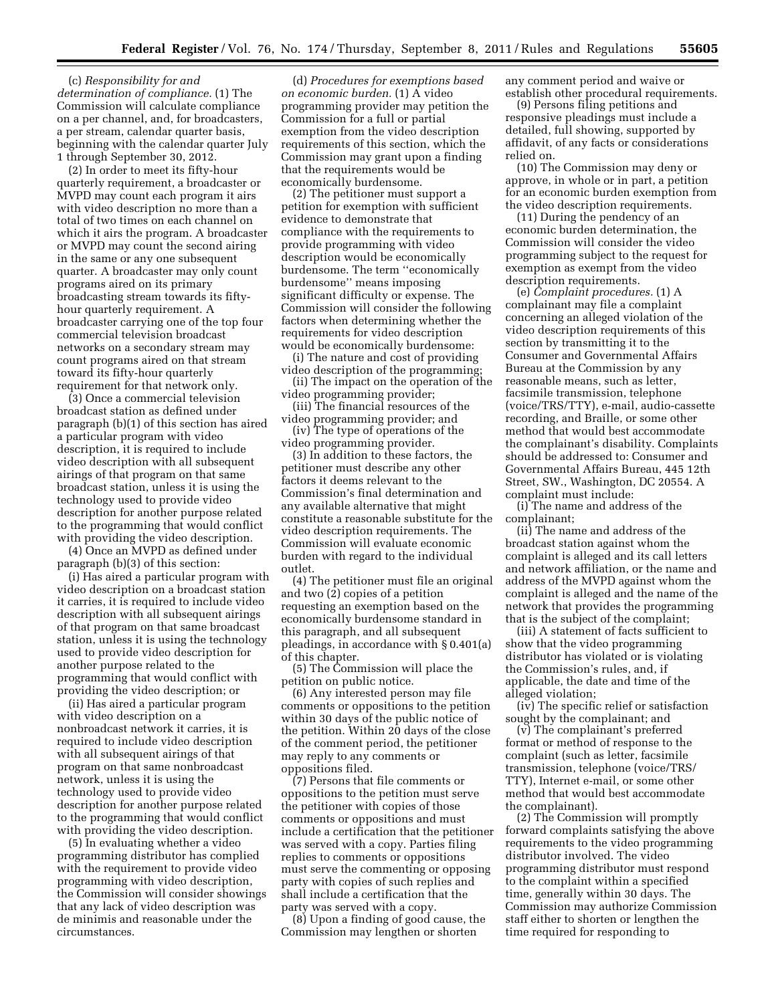(c) *Responsibility for and determination of compliance.* (1) The Commission will calculate compliance on a per channel, and, for broadcasters, a per stream, calendar quarter basis, beginning with the calendar quarter July 1 through September 30, 2012.

(2) In order to meet its fifty-hour quarterly requirement, a broadcaster or MVPD may count each program it airs with video description no more than a total of two times on each channel on which it airs the program. A broadcaster or MVPD may count the second airing in the same or any one subsequent quarter. A broadcaster may only count programs aired on its primary broadcasting stream towards its fiftyhour quarterly requirement. A broadcaster carrying one of the top four commercial television broadcast networks on a secondary stream may count programs aired on that stream toward its fifty-hour quarterly requirement for that network only.

(3) Once a commercial television broadcast station as defined under paragraph (b)(1) of this section has aired a particular program with video description, it is required to include video description with all subsequent airings of that program on that same broadcast station, unless it is using the technology used to provide video description for another purpose related to the programming that would conflict with providing the video description.

(4) Once an MVPD as defined under paragraph (b)(3) of this section:

(i) Has aired a particular program with video description on a broadcast station it carries, it is required to include video description with all subsequent airings of that program on that same broadcast station, unless it is using the technology used to provide video description for another purpose related to the programming that would conflict with providing the video description; or

(ii) Has aired a particular program with video description on a nonbroadcast network it carries, it is required to include video description with all subsequent airings of that program on that same nonbroadcast network, unless it is using the technology used to provide video description for another purpose related to the programming that would conflict with providing the video description.

(5) In evaluating whether a video programming distributor has complied with the requirement to provide video programming with video description, the Commission will consider showings that any lack of video description was de minimis and reasonable under the circumstances.

(d) *Procedures for exemptions based on economic burden.* (1) A video programming provider may petition the Commission for a full or partial exemption from the video description requirements of this section, which the Commission may grant upon a finding that the requirements would be economically burdensome.

(2) The petitioner must support a petition for exemption with sufficient evidence to demonstrate that compliance with the requirements to provide programming with video description would be economically burdensome. The term ''economically burdensome'' means imposing significant difficulty or expense. The Commission will consider the following factors when determining whether the requirements for video description would be economically burdensome:

(i) The nature and cost of providing video description of the programming;

(ii) The impact on the operation of the video programming provider;

(iii) The financial resources of the video programming provider; and

(iv) The type of operations of the video programming provider.

(3) In addition to these factors, the petitioner must describe any other factors it deems relevant to the Commission's final determination and any available alternative that might constitute a reasonable substitute for the video description requirements. The Commission will evaluate economic burden with regard to the individual outlet.

(4) The petitioner must file an original and two (2) copies of a petition requesting an exemption based on the economically burdensome standard in this paragraph, and all subsequent pleadings, in accordance with § 0.401(a) of this chapter.

(5) The Commission will place the petition on public notice.

(6) Any interested person may file comments or oppositions to the petition within 30 days of the public notice of the petition. Within 20 days of the close of the comment period, the petitioner may reply to any comments or oppositions filed.

(7) Persons that file comments or oppositions to the petition must serve the petitioner with copies of those comments or oppositions and must include a certification that the petitioner was served with a copy. Parties filing replies to comments or oppositions must serve the commenting or opposing party with copies of such replies and shall include a certification that the party was served with a copy.

(8) Upon a finding of good cause, the Commission may lengthen or shorten

any comment period and waive or establish other procedural requirements.

(9) Persons filing petitions and responsive pleadings must include a detailed, full showing, supported by affidavit, of any facts or considerations relied on.

(10) The Commission may deny or approve, in whole or in part, a petition for an economic burden exemption from the video description requirements.

(11) During the pendency of an economic burden determination, the Commission will consider the video programming subject to the request for exemption as exempt from the video description requirements.

(e) *Complaint procedures.* (1) A complainant may file a complaint concerning an alleged violation of the video description requirements of this section by transmitting it to the Consumer and Governmental Affairs Bureau at the Commission by any reasonable means, such as letter, facsimile transmission, telephone (voice/TRS/TTY), e-mail, audio-cassette recording, and Braille, or some other method that would best accommodate the complainant's disability. Complaints should be addressed to: Consumer and Governmental Affairs Bureau, 445 12th Street, SW., Washington, DC 20554. A complaint must include:

(i) The name and address of the complainant;

(ii) The name and address of the broadcast station against whom the complaint is alleged and its call letters and network affiliation, or the name and address of the MVPD against whom the complaint is alleged and the name of the network that provides the programming that is the subject of the complaint;

(iii) A statement of facts sufficient to show that the video programming distributor has violated or is violating the Commission's rules, and, if applicable, the date and time of the alleged violation;

(iv) The specific relief or satisfaction sought by the complainant; and

(v) The complainant's preferred format or method of response to the complaint (such as letter, facsimile transmission, telephone (voice/TRS/ TTY), Internet e-mail, or some other method that would best accommodate the complainant).

(2) The Commission will promptly forward complaints satisfying the above requirements to the video programming distributor involved. The video programming distributor must respond to the complaint within a specified time, generally within 30 days. The Commission may authorize Commission staff either to shorten or lengthen the time required for responding to